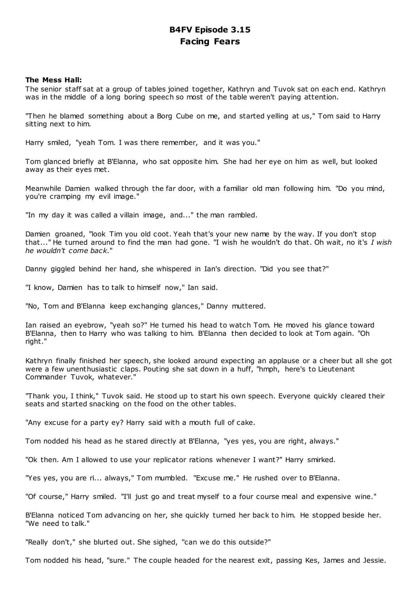## **B4FV Episode 3.15 Facing Fears**

## **The Mess Hall:**

The senior staff sat at a group of tables joined together, Kathryn and Tuvok sat on each end. Kathryn was in the middle of a long boring speech so most of the table weren't paying attention.

"Then he blamed something about a Borg Cube on me, and started yelling at us," Tom said to Harry sitting next to him.

Harry smiled, "yeah Tom. I was there remember, and it was you."

Tom glanced briefly at B'Elanna, who sat opposite him. She had her eye on him as well, but looked away as their eyes met.

Meanwhile Damien walked through the far door, with a familiar old man following him. "Do you mind, you're cramping my evil image."

"In my day it was called a villain image, and..." the man rambled.

Damien groaned, "look Tim you old coot. Yeah that's your new name by the way. If you don't stop that..." He turned around to find the man had gone. "I wish he wouldn't do that. Oh wait, no it's *I wish he wouldn't come back*."

Danny giggled behind her hand, she whispered in Ian's direction. "Did you see that?"

"I know, Damien has to talk to himself now," Ian said.

"No, Tom and B'Elanna keep exchanging glances," Danny muttered.

Ian raised an eyebrow, "yeah so?" He turned his head to watch Tom. He moved his glance toward B'Elanna, then to Harry who was talking to him. B'Elanna then decided to look at Tom again. "Oh right."

Kathryn finally finished her speech, she looked around expecting an applause or a cheer but all she got were a few unenthusiastic claps. Pouting she sat down in a huff, "hmph, here's to Lieutenant Commander Tuvok, whatever."

"Thank you, I think," Tuvok said. He stood up to start his own speech. Everyone quickly cleared their seats and started snacking on the food on the other tables.

"Any excuse for a party ey? Harry said with a mouth full of cake.

Tom nodded his head as he stared directly at B'Elanna, "yes yes, you are right, always."

"Ok then. Am I allowed to use your replicator rations whenever I want?" Harry smirked.

"Yes yes, you are ri... always," Tom mumbled. "Excuse me." He rushed over to B'Elanna.

"Of course," Harry smiled. "I'll just go and treat myself to a four course meal and expensive wine."

B'Elanna noticed Tom advancing on her, she quickly turned her back to him. He stopped beside her. "We need to talk."

"Really don't," she blurted out. She sighed, "can we do this outside?"

Tom nodded his head, "sure." The couple headed for the nearest exit, passing Kes, James and Jessie.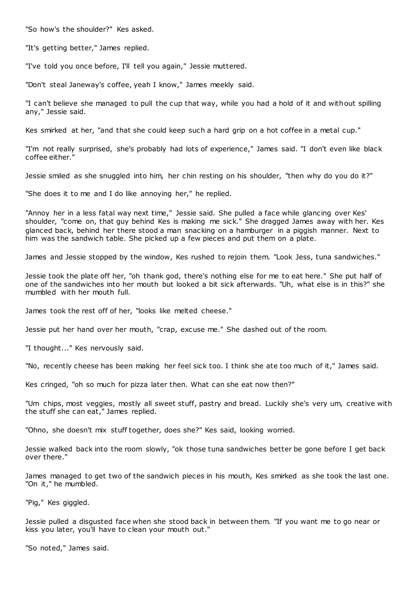"So how's the shoulder?" Kes asked.

"It's getting better," James replied.

"I've told you once before, I'll tell you again," Jessie muttered.

"Don't steal Janeway's coffee, yeah I know," James meekly said.

"I can't believe she managed to pull the cup that way, while you had a hold of it and without spilling any," Jessie said.

Kes smirked at her, "and that she could keep such a hard grip on a hot coffee in a metal cup."

"I'm not really surprised, she's probably had lots of experience," James said. "I don't even like black coffee either."

Jessie smiled as she snuggled into him, her chin resting on his shoulder, "then why do you do it?"

"She does it to me and I do like annoying her," he replied.

"Annoy her in a less fatal way next time," Jessie said. She pulled a face while glancing over Kes' shoulder, "come on, that guy behind Kes is making me sick." She dragged James away with her. Kes glanced back, behind her there stood a man snacking on a hamburger in a piggish manner. Next to him was the sandwich table. She picked up a few pieces and put them on a plate.

James and Jessie stopped by the window, Kes rushed to rejoin them. "Look Jess, tuna sandwiches."

Jessie took the plate off her, "oh thank god, there's nothing else for me to eat here." She put half of one of the sandwiches into her mouth but looked a bit sick afterwards. "Uh, what else is in this?" she mumbled with her mouth full.

James took the rest off of her, "looks like melted cheese."

Jessie put her hand over her mouth, "crap, excuse me." She dashed out of the room.

"I thought..." Kes nervously said.

"No, recently cheese has been making her feel sick too. I think she ate too much of it," James said.

Kes cringed, "oh so much for pizza later then. What can she eat now then?"

"Um chips, most veggies, mostly all sweet stuff, pastry and bread. Luckily she's very um, creative with the stuff she can eat," James replied.

"Ohno, she doesn't mix stuff together, does she?" Kes said, looking worried.

Jessie walked back into the room slowly, "ok those tuna sandwiches better be gone before I get back over there."

James managed to get two of the sandwich pieces in his mouth, Kes smirked as she took the last one. "On it," he mumbled.

"Pig," Kes giggled.

Jessie pulled a disgusted face when she stood back in between them. "If you want me to go near or kiss you later, you'll have to clean your mouth out."

"So noted," James said.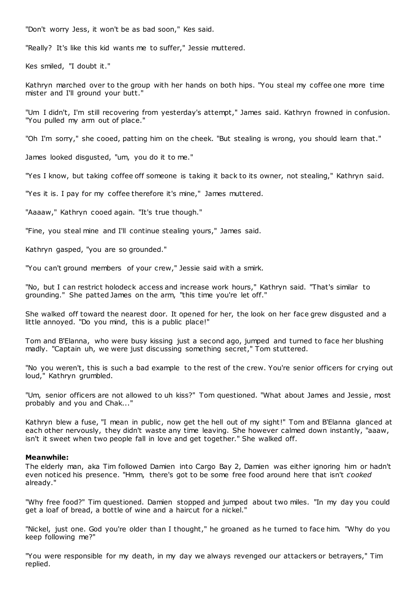"Don't worry Jess, it won't be as bad soon," Kes said.

"Really? It's like this kid wants me to suffer," Jessie muttered.

Kes smiled, "I doubt it."

Kathryn marched over to the group with her hands on both hips. "You steal my coffee one more time mister and I'll ground your butt."

"Um I didn't, I'm still recovering from yesterday's attempt," James said. Kathryn frowned in confusion. "You pulled my arm out of place."

"Oh I'm sorry," she cooed, patting him on the cheek. "But stealing is wrong, you should learn that."

James looked disgusted, "um, you do it to me."

"Yes I know, but taking coffee off someone is taking it back to its owner, not stealing," Kathryn said.

"Yes it is. I pay for my coffee therefore it's mine," James muttered.

"Aaaaw," Kathryn cooed again. "It's true though."

"Fine, you steal mine and I'll continue stealing yours," James said.

Kathryn gasped, "you are so grounded."

"You can't ground members of your crew," Jessie said with a smirk.

"No, but I can restrict holodeck access and increase work hours," Kathryn said. "That's similar to grounding." She patted James on the arm, "this time you're let off."

She walked off toward the nearest door. It opened for her, the look on her face grew disgusted and a little annoyed. "Do you mind, this is a public place!"

Tom and B'Elanna, who were busy kissing just a second ago, jumped and turned to face her blushing madly. "Captain uh, we were just discussing something secret," Tom stuttered.

"No you weren't, this is such a bad example to the rest of the crew. You're senior officers for crying out loud," Kathryn grumbled.

"Um, senior officers are not allowed to uh kiss?" Tom questioned. "What about James and Jessie, most probably and you and Chak..."

Kathryn blew a fuse, "I mean in public, now get the hell out of my sight!" Tom and B'Elanna glanced at each other nervously, they didn't waste any time leaving. She however calmed down instantly, "aaaw, isn't it sweet when two people fall in love and get together." She walked off.

#### **Meanwhile:**

The elderly man, aka Tim followed Damien into Cargo Bay 2, Damien was either ignoring him or hadn't even noticed his presence. "Hmm, there's got to be some free food around here that isn't *cooked* already."

"Why free food?" Tim questioned. Damien stopped and jumped about two miles. "In my day you could get a loaf of bread, a bottle of wine and a haircut for a nickel."

"Nickel, just one. God you're older than I thought," he groaned as he turned to face him. "Why do you keep following me?"

"You were responsible for my death, in my day we always revenged our attackers or betrayers," Tim replied.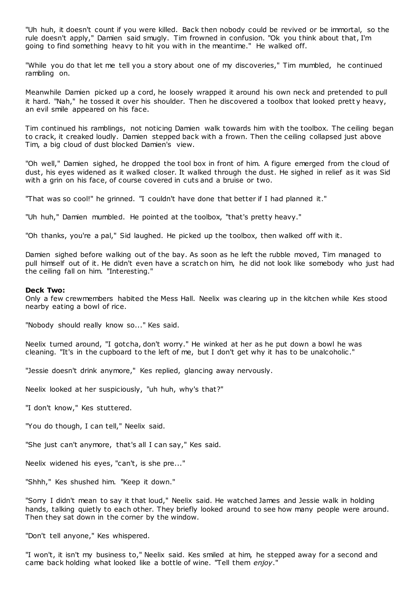"Uh huh, it doesn't count if you were killed. Back then nobody could be revived or be immortal, so the rule doesn't apply," Damien said smugly. Tim frowned in confusion. "Ok you think about that, I'm going to find something heavy to hit you with in the meantime." He walked off.

"While you do that let me tell you a story about one of my discoveries," Tim mumbled, he continued rambling on.

Meanwhile Damien picked up a cord, he loosely wrapped it around his own neck and pretended to pull it hard. "Nah," he tossed it over his shoulder. Then he discovered a toolbox that looked prett y heavy, an evil smile appeared on his face.

Tim continued his ramblings, not noticing Damien walk towards him with the toolbox. The ceiling began to crack, it creaked loudly. Damien stepped back with a frown. Then the ceiling collapsed just above Tim, a big cloud of dust blocked Damien's view.

"Oh well," Damien sighed, he dropped the tool box in front of him. A figure emerged from the cloud of dust, his eyes widened as it walked closer. It walked through the dust. He sighed in relief as it was Sid with a grin on his face, of course covered in cuts and a bruise or two.

"That was so cool!" he grinned. "I couldn't have done that better if I had planned it."

"Uh huh," Damien mumbled. He pointed at the toolbox, "that's pretty heavy."

"Oh thanks, you're a pal," Sid laughed. He picked up the toolbox, then walked off with it.

Damien sighed before walking out of the bay. As soon as he left the rubble moved, Tim managed to pull himself out of it. He didn't even have a scratch on him, he did not look like somebody who just had the ceiling fall on him. "Interesting."

#### **Deck Two:**

Only a few crewmembers habited the Mess Hall. Neelix was clearing up in the kitchen while Kes stood nearby eating a bowl of rice.

"Nobody should really know so..." Kes said.

Neelix turned around, "I gotcha, don't worry." He winked at her as he put down a bowl he was cleaning. "It's in the cupboard to the left of me, but I don't get why it has to be unalcoholic ."

"Jessie doesn't drink anymore," Kes replied, glancing away nervously.

Neelix looked at her suspiciously, "uh huh, why's that?"

"I don't know," Kes stuttered.

"You do though, I can tell," Neelix said.

"She just can't anymore, that's all I can say," Kes said.

Neelix widened his eyes, "can't, is she pre..."

"Shhh," Kes shushed him. "Keep it down."

"Sorry I didn't mean to say it that loud," Neelix said. He watched James and Jessie walk in holding hands, talking quietly to each other. They briefly looked around to see how many people were around. Then they sat down in the corner by the window.

"Don't tell anyone," Kes whispered.

"I won't, it isn't my business to," Neelix said. Kes smiled at him, he stepped away for a second and came back holding what looked like a bottle of wine. "Tell them *enjoy*."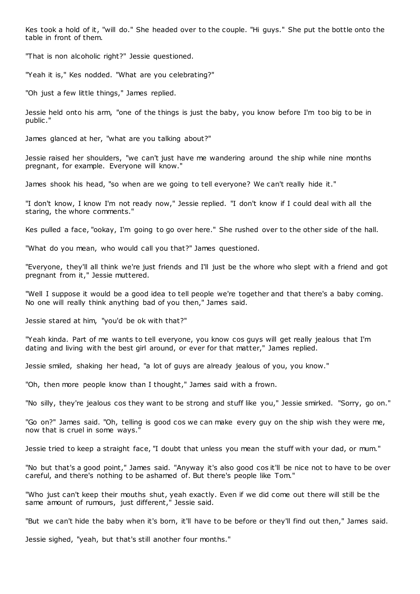Kes took a hold of it, "will do." She headed over to the couple. "Hi guys." She put the bottle onto the table in front of them.

"That is non alcoholic right?" Jessie questioned.

"Yeah it is," Kes nodded. "What are you celebrating?"

"Oh just a few little things," James replied.

Jessie held onto his arm, "one of the things is just the baby, you know before I'm too big to be in public ."

James glanced at her, "what are you talking about?"

Jessie raised her shoulders, "we can't just have me wandering around the ship while nine months pregnant, for example. Everyone will know."

James shook his head, "so when are we going to tell everyone? We can't really hide it."

"I don't know, I know I'm not ready now," Jessie replied. "I don't know if I could deal with all the staring, the whore comments."

Kes pulled a face, "ookay, I'm going to go over here." She rushed over to the other side of the hall.

"What do you mean, who would call you that?" James questioned.

"Everyone, they'll all think we're just friends and I'll just be the whore who slept with a friend and got pregnant from it," Jessie muttered.

"Well I suppose it would be a good idea to tell people we're together and that there's a baby coming. No one will really think anything bad of you then," James said.

Jessie stared at him, "you'd be ok with that?"

"Yeah kinda. Part of me wants to tell everyone, you know cos guys will get really jealous that I'm dating and living with the best girl around, or ever for that matter," James replied.

Jessie smiled, shaking her head, "a lot of guys are already jealous of you, you know."

"Oh, then more people know than I thought," James said with a frown.

"No silly, they're jealous cos they want to be strong and stuff like you," Jessie smirked. "Sorry, go on."

"Go on?" James said. "Oh, telling is good cos we can make every guy on the ship wish they were me, now that is cruel in some ways."

Jessie tried to keep a straight face, "I doubt that unless you mean the stuff with your dad, or mum."

"No but that's a good point," James said. "Anyway it's also good cos it'll be nice not to have to be over careful, and there's nothing to be ashamed of. But there's people like Tom."

"Who just can't keep their mouths shut, yeah exactly. Even if we did come out there will still be the same amount of rumours, just different," Jessie said.

"But we can't hide the baby when it's born, it'll have to be before or they'll find out then," James said.

Jessie sighed, "yeah, but that's still another four months."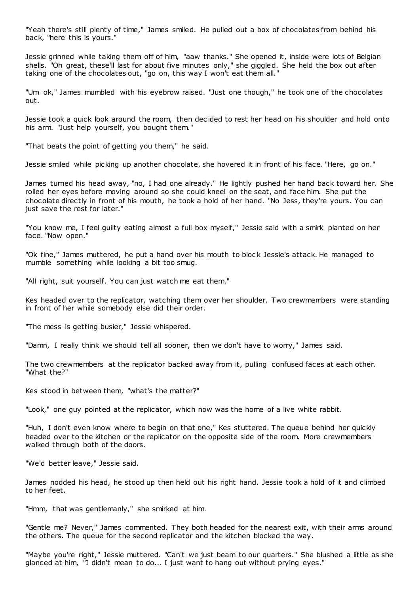"Yeah there's still plenty of time," James smiled. He pulled out a box of chocolates from behind his back, "here this is yours."

Jessie grinned while taking them off of him, "aaw thanks." She opened it, inside were lots of Belgian shells. "Oh great, these'll last for about five minutes only," she giggled. She held the box out after taking one of the chocolates out, "go on, this way I won't eat them all."

"Um ok," James mumbled with his eyebrow raised. "Just one though," he took one of the chocolates out.

Jessie took a quick look around the room, then dec ided to rest her head on his shoulder and hold onto his arm. "Just help yourself, you bought them."

"That beats the point of getting you them," he said.

Jessie smiled while picking up another chocolate, she hovered it in front of his face. "Here, go on."

James turned his head away, "no, I had one already." He lightly pushed her hand back toward her. She rolled her eyes before moving around so she could kneel on the seat, and face him. She put the chocolate directly in front of his mouth, he took a hold of her hand. "No Jess, they're yours. You can just save the rest for later."

"You know me, I feel guilty eating almost a full box myself," Jessie said with a smirk planted on her face. "Now open."

"Ok fine," James muttered, he put a hand over his mouth to block Jessie's attack. He managed to mumble something while looking a bit too smug.

"All right, suit yourself. You can just watch me eat them."

Kes headed over to the replicator, watching them over her shoulder. Two crewmembers were standing in front of her while somebody else did their order.

"The mess is getting busier," Jessie whispered.

"Damn, I really think we should tell all sooner, then we don't have to worry," James said.

The two crewmembers at the replicator backed away from it, pulling confused faces at each other. "What the?"

Kes stood in between them, "what's the matter?"

"Look," one guy pointed at the replicator, which now was the home of a live white rabbit.

"Huh, I don't even know where to begin on that one," Kes stuttered. The queue behind her quickly headed over to the kitchen or the replicator on the opposite side of the room. More crewmembers walked through both of the doors.

"We'd better leave," Jessie said.

James nodded his head, he stood up then held out his right hand. Jessie took a hold of it and climbed to her feet.

"Hmm, that was gentlemanly," she smirked at him.

"Gentle me? Never," James commented. They both headed for the nearest exit, with their arms around the others. The queue for the second replicator and the kitchen blocked the way.

"Maybe you're right," Jessie muttered. "Can't we just beam to our quarters." She blushed a little as she glanced at him, "I didn't mean to do... I just want to hang out without prying eyes."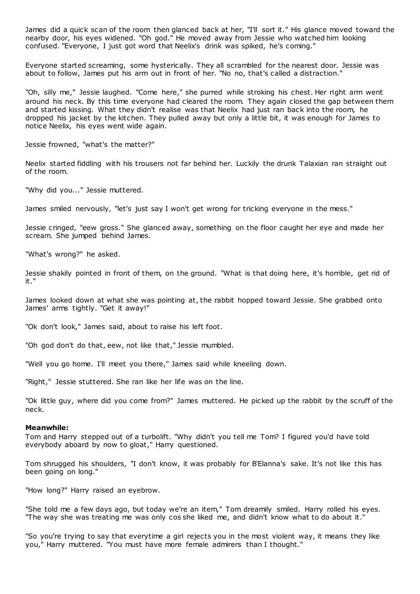James did a quick scan of the room then glanced back at her, "I'll sort it." His glance moved toward the nearby door, his eyes widened. "Oh god." He moved away from Jessie who watched him looking confused. "Everyone, I just got word that Neelix's drink was spiked, he's coming."

Everyone started screaming, some hysterically. They all scrambled for the nearest door. Jessie was about to follow, James put his arm out in front of her. "No no, that's called a distraction."

"Oh, silly me," Jessie laughed. "Come here," she purred while stroking his chest. Her right arm went around his neck. By this time everyone had cleared the room. They again closed the gap between them and started kissing. What they didn't realise was that Neelix had just ran back into the room, he dropped his jacket by the kitchen. They pulled away but only a little bit, it was enough for James to notice Neelix, his eyes went wide again.

Jessie frowned, "what's the matter?"

Neelix started fiddling with his trousers not far behind her. Luckily the drunk Talaxian ran straight out of the room.

"Why did you..." Jessie muttered.

James smiled nervously, "let's just say I won't get wrong for tricking everyone in the mess."

Jessie cringed, "eew gross." She glanced away, something on the floor caught her eye and made her scream. She jumped behind James.

"What's wrong?" he asked.

Jessie shakily pointed in front of them, on the ground. "What is that doing here, it's horrible, get rid of it."

James looked down at what she was pointing at, the rabbit hopped toward Jessie. She grabbed onto James' arms tightly. "Get it away!"

"Ok don't look," James said, about to raise his left foot.

"Oh god don't do that, eew, not like that," Jessie mumbled.

"Well you go home. I'll meet you there," James said while kneeling down.

"Right," Jessie stuttered. She ran like her life was on the line.

"Ok little guy, where did you come from?" James muttered. He picked up the rabbit by the scruff of the neck.

#### **Meanwhile:**

Tom and Harry stepped out of a turbolift. "Why didn't you tell me Tom? I figured you'd have told everybody aboard by now to gloat," Harry questioned.

Tom shrugged his shoulders, "I don't know, it was probably for B'Elanna's sake. It's not like this has been going on long."

"How long?" Harry raised an eyebrow.

"She told me a few days ago, but today we're an item," Tom dreamily smiled. Harry rolled his eyes. "The way she was treating me was only cos she liked me, and didn't know what to do about it."

"So you're trying to say that everytime a girl rejects you in the most violent way, it means they like you," Harry muttered. "You must have more female admirers than I thought."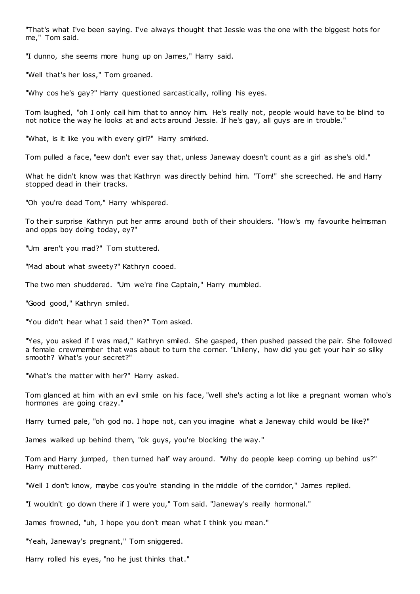"That's what I've been saying. I've always thought that Jessie was the one with the biggest hots for me," Tom said.

"I dunno, she seems more hung up on James," Harry said.

"Well that's her loss," Tom groaned.

"Why cos he's gay?" Harry questioned sarcastically, rolling his eyes.

Tom laughed, "oh I only call him that to annoy him. He's really not, people would have to be blind to not notice the way he looks at and acts around Jessie. If he's gay, all guys are in trouble."

"What, is it like you with every girl?" Harry smirked.

Tom pulled a face, "eew don't ever say that, unless Janeway doesn't count as a girl as she's old."

What he didn't know was that Kathryn was directly behind him. "Tom!" she screeched. He and Harry stopped dead in their tracks.

"Oh you're dead Tom," Harry whispered.

To their surprise Kathryn put her arms around both of their shoulders. "How's my favourite helmsman and opps boy doing today, ey?"

"Um aren't you mad?" Tom stuttered.

"Mad about what sweety?" Kathryn cooed.

The two men shuddered. "Um we're fine Captain," Harry mumbled.

"Good good," Kathryn smiled.

"You didn't hear what I said then?" Tom asked.

"Yes, you asked if I was mad," Kathryn smiled. She gasped, then pushed passed the pair. She followed a female crewmember that was about to turn the corner. "Lhileny, how did you get your hair so silky smooth? What's your secret?"

"What's the matter with her?" Harry asked.

Tom glanced at him with an evil smile on his face, "well she's acting a lot like a pregnant woman who's hormones are going crazy."

Harry turned pale, "oh god no. I hope not, can you imagine what a Janeway child would be like?"

James walked up behind them, "ok guys, you're blocking the way."

Tom and Harry jumped, then turned half way around. "Why do people keep coming up behind us?" Harry muttered.

"Well I don't know, maybe cos you're standing in the middle of the corridor," James replied.

"I wouldn't go down there if I were you," Tom said. "Janeway's really hormonal."

James frowned, "uh, I hope you don't mean what I think you mean."

"Yeah, Janeway's pregnant," Tom sniggered.

Harry rolled his eyes, "no he just thinks that."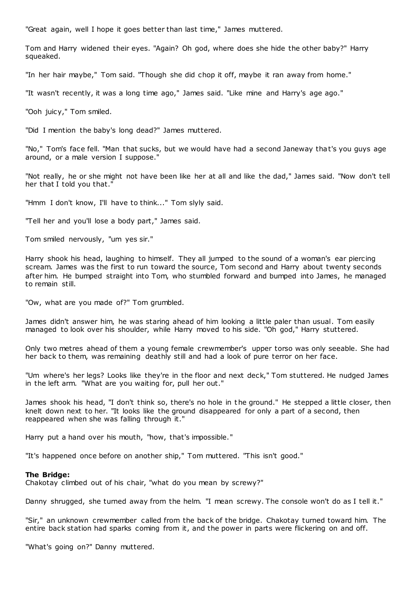"Great again, well I hope it goes better than last time," James muttered.

Tom and Harry widened their eyes. "Again? Oh god, where does she hide the other baby?" Harry squeaked.

"In her hair maybe," Tom said. "Though she did chop it off, maybe it ran away from home."

"It wasn't recently, it was a long time ago," James said. "Like mine and Harry's age ago."

"Ooh juicy," Tom smiled.

"Did I mention the baby's long dead?" James muttered.

"No," Tom's face fell. "Man that sucks, but we would have had a second Janeway that's you guys age around, or a male version I suppose."

"Not really, he or she might not have been like her at all and like the dad," James said. "Now don't tell her that I told you that."

"Hmm I don't know, I'll have to think..." Tom slyly said.

"Tell her and you'll lose a body part," James said.

Tom smiled nervously, "um yes sir."

Harry shook his head, laughing to himself. They all jumped to the sound of a woman's ear piercing scream. James was the first to run toward the source, Tom second and Harry about twenty seconds after him. He bumped straight into Tom, who stumbled forward and bumped into James, he managed to remain still.

"Ow, what are you made of?" Tom grumbled.

James didn't answer him, he was staring ahead of him looking a little paler than usual. Tom easily managed to look over his shoulder, while Harry moved to his side. "Oh god," Harry stuttered.

Only two metres ahead of them a young female crewmember's upper torso was only seeable. She had her back to them, was remaining deathly still and had a look of pure terror on her face.

"Um where's her legs? Looks like they're in the floor and next deck," Tom stuttered. He nudged James in the left arm. "What are you waiting for, pull her out."

James shook his head, "I don't think so, there's no hole in the ground." He stepped a little closer, then knelt down next to her. "It looks like the ground disappeared for only a part of a second, then reappeared when she was falling through it."

Harry put a hand over his mouth, "how, that's impossible."

"It's happened once before on another ship," Tom muttered. "This isn't good."

#### **The Bridge:**

Chakotay climbed out of his chair, "what do you mean by screwy?"

Danny shrugged, she turned away from the helm. "I mean screwy. The console won't do as I tell it."

"Sir," an unknown crewmember called from the back of the bridge. Chakotay turned toward him. The entire back station had sparks coming from it, and the power in parts were flickering on and off.

"What's going on?" Danny muttered.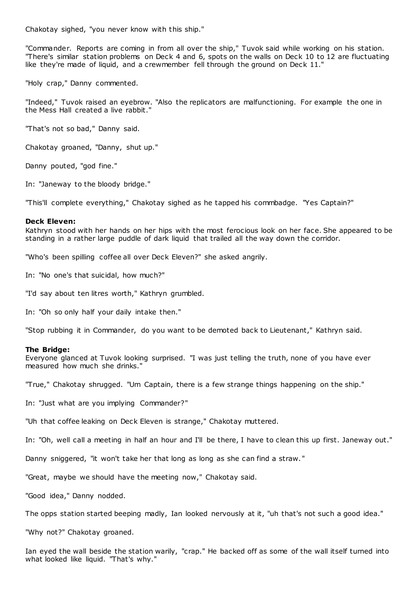Chakotay sighed, "you never know with this ship."

"Commander. Reports are coming in from all over the ship," Tuvok said while working on his station. "There's similar station problems on Deck 4 and 6, spots on the walls on Deck 10 to 12 are fluctuating like they're made of liquid, and a crewmember fell through the ground on Deck 11."

"Holy crap," Danny commented.

"Indeed," Tuvok raised an eyebrow. "Also the replicators are malfunctioning. For example the one in the Mess Hall created a live rabbit."

"That's not so bad," Danny said.

Chakotay groaned, "Danny, shut up."

Danny pouted, "god fine."

In: "Janeway to the bloody bridge."

"This'll complete everything," Chakotay sighed as he tapped his commbadge. "Yes Captain?"

#### **Deck Eleven:**

Kathryn stood with her hands on her hips with the most ferocious look on her face. She appeared to be standing in a rather large puddle of dark liquid that trailed all the way down the corridor.

"Who's been spilling coffee all over Deck Eleven?" she asked angrily.

In: "No one's that suicidal, how much?"

"I'd say about ten litres worth," Kathryn grumbled.

In: "Oh so only half your daily intake then."

"Stop rubbing it in Commander, do you want to be demoted back to Lieutenant," Kathryn said.

#### **The Bridge:**

Everyone glanced at Tuvok looking surprised. "I was just telling the truth, none of you have ever measured how much she drinks."

"True," Chakotay shrugged. "Um Captain, there is a few strange things happening on the ship."

In: "Just what are you implying Commander?"

"Uh that coffee leaking on Deck Eleven is strange," Chakotay muttered.

In: "Oh, well call a meeting in half an hour and I'll be there, I have to clean this up first. Janeway out."

Danny sniggered, "it won't take her that long as long as she can find a straw. "

"Great, maybe we should have the meeting now," Chakotay said.

"Good idea," Danny nodded.

The opps station started beeping madly, Ian looked nervously at it, "uh that's not such a good idea."

"Why not?" Chakotay groaned.

Ian eyed the wall beside the station warily, "crap." He backed off as some of the wall itself turned into what looked like liquid. "That's why."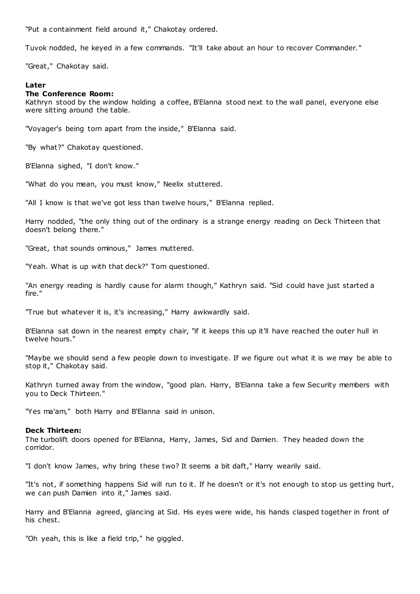"Put a containment field around it," Chakotay ordered.

Tuvok nodded, he keyed in a few commands. "It'll take about an hour to recover Commander."

"Great," Chakotay said.

## **Later**

## **The Conference Room:**

Kathryn stood by the window holding a coffee, B'Elanna stood next to the wall panel, everyone else were sitting around the table.

"Voyager's being torn apart from the inside," B'Elanna said.

"By what?" Chakotay questioned.

B'Elanna sighed, "I don't know."

"What do you mean, you must know," Neelix stuttered.

"All I know is that we've got less than twelve hours," B'Elanna replied.

Harry nodded, "the only thing out of the ordinary is a strange energy reading on Deck Thirteen that doesn't belong there."

"Great, that sounds ominous," James muttered.

"Yeah. What is up with that deck?" Tom questioned.

"An energy reading is hardly cause for alarm though," Kathryn said. "Sid could have just started a fire."

"True but whatever it is, it's increasing," Harry awkwardly said.

B'Elanna sat down in the nearest empty chair, "if it keeps this up it'll have reached the outer hull in twelve hours."

"Maybe we should send a few people down to investigate. If we figure out what it is we may be able to stop it," Chakotay said.

Kathryn turned away from the window, "good plan. Harry, B'Elanna take a few Security members with you to Deck Thirteen."

"Yes ma'am," both Harry and B'Elanna said in unison.

## **Deck Thirteen:**

The turbolift doors opened for B'Elanna, Harry, James, Sid and Damien. They headed down the corridor.

"I don't know James, why bring these two? It seems a bit daft," Harry wearily said.

"It's not, if something happens Sid will run to it. If he doesn't or it's not enough to stop us getting hurt, we can push Damien into it," James said.

Harry and B'Elanna agreed, glancing at Sid. His eyes were wide, his hands clasped together in front of his chest.

"Oh yeah, this is like a field trip," he giggled.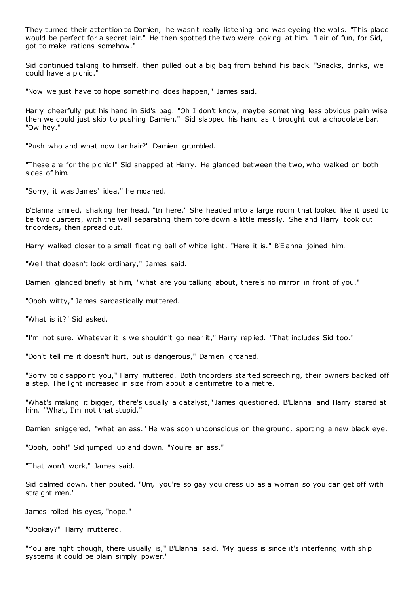They turned their attention to Damien, he wasn't really listening and was eyeing the walls. "This place would be perfect for a secret lair." He then spotted the two were looking at him. "Lair of fun, for Sid, got to make rations somehow."

Sid continued talking to himself, then pulled out a big bag from behind his back. "Snacks, drinks, we could have a picnic ."

"Now we just have to hope something does happen," James said.

Harry cheerfully put his hand in Sid's bag. "Oh I don't know, maybe something less obvious pain wise then we could just skip to pushing Damien." Sid slapped his hand as it brought out a chocolate bar. "Ow hey."

"Push who and what now tar hair?" Damien grumbled.

"These are for the picnic!" Sid snapped at Harry. He glanced between the two, who walked on both sides of him.

"Sorry, it was James' idea," he moaned.

B'Elanna smiled, shaking her head. "In here." She headed into a large room that looked like it used to be two quarters, with the wall separating them tore down a little messily. She and Harry took out tricorders, then spread out.

Harry walked closer to a small floating ball of white light. "Here it is." B'Elanna joined him.

"Well that doesn't look ordinary," James said.

Damien glanced briefly at him, "what are you talking about, there's no mirror in front of you."

"Oooh witty," James sarcastically muttered.

"What is it?" Sid asked.

"I'm not sure. Whatever it is we shouldn't go near it," Harry replied. "That includes Sid too."

"Don't tell me it doesn't hurt, but is dangerous," Damien groaned.

"Sorry to disappoint you," Harry muttered. Both tricorders started screeching, their owners backed off a step. The light increased in size from about a centimetre to a metre.

"What's making it bigger, there's usually a catalyst," James questioned. B'Elanna and Harry stared at him. "What, I'm not that stupid."

Damien sniggered, "what an ass." He was soon unconscious on the ground, sporting a new black eye.

"Oooh, ooh!" Sid jumped up and down. "You're an ass."

"That won't work," James said.

Sid calmed down, then pouted. "Um, you're so gay you dress up as a woman so you can get off with straight men."

James rolled his eyes, "nope."

"Oookay?" Harry muttered.

"You are right though, there usually is," B'Elanna said. "My guess is since it's interfering with ship systems it could be plain simply power."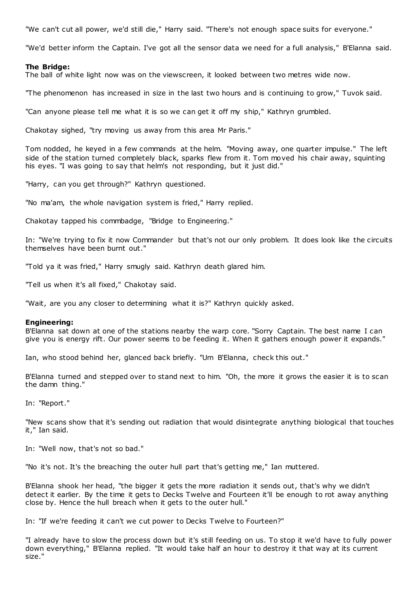"We can't cut all power, we'd still die," Harry said. "There's not enough space suits for everyone."

"We'd better inform the Captain. I've got all the sensor data we need for a full analysis," B'Elanna said.

## **The Bridge:**

The ball of white light now was on the viewscreen, it looked between two metres wide now.

"The phenomenon has increased in size in the last two hours and is continuing to grow," Tuvok said.

"Can anyone please tell me what it is so we can get it off my ship," Kathryn grumbled.

Chakotay sighed, "try moving us away from this area Mr Paris."

Tom nodded, he keyed in a few commands at the helm. "Moving away, one quarter impulse." The left side of the station turned completely black, sparks flew from it. Tom moved his chair away, squinting his eyes. "I was going to say that helm's not responding, but it just did."

"Harry, can you get through?" Kathryn questioned.

"No ma'am, the whole navigation system is fried," Harry replied.

Chakotay tapped his commbadge, "Bridge to Engineering."

In: "We're trying to fix it now Commander but that's not our only problem. It does look like the circuits themselves have been burnt out."

"Told ya it was fried," Harry smugly said. Kathryn death glared him.

"Tell us when it's all fixed," Chakotay said.

"Wait, are you any closer to determining what it is?" Kathryn quickly asked.

## **Engineering:**

B'Elanna sat down at one of the stations nearby the warp core. "Sorry Captain. The best name I can give you is energy rift. Our power seems to be feeding it. When it gathers enough power it expands."

Ian, who stood behind her, glanced back briefly. "Um B'Elanna, check this out."

B'Elanna turned and stepped over to stand next to him. "Oh, the more it grows the easier it is to scan the damn thing."

In: "Report."

"New scans show that it's sending out radiation that would disintegrate anything biological that touches it," Ian said.

In: "Well now, that's not so bad."

"No it's not. It's the breaching the outer hull part that's getting me," Ian muttered.

B'Elanna shook her head, "the bigger it gets the more radiation it sends out, that's why we didn't detect it earlier. By the time it gets to Decks Twelve and Fourteen it'll be enough to rot away anything close by. Hence the hull breach when it gets to the outer hull."

In: "If we're feeding it can't we cut power to Decks Twelve to Fourteen?"

"I already have to slow the process down but it's still feeding on us. To stop it we'd have to fully power down everything," B'Elanna replied. "It would take half an hour to destroy it that way at its current size."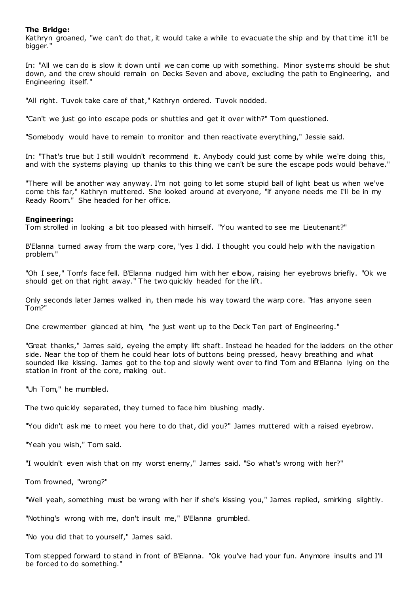## **The Bridge:**

Kathryn groaned, "we can't do that, it would take a while to evacuate the ship and by that time it'll be bigger."

In: "All we can do is slow it down until we can come up with something. Minor systems should be shut down, and the crew should remain on Decks Seven and above, excluding the path to Engineering, and Engineering itself."

"All right. Tuvok take care of that," Kathryn ordered. Tuvok nodded.

"Can't we just go into escape pods or shuttles and get it over with?" Tom questioned.

"Somebody would have to remain to monitor and then reactivate everything," Jessie said.

In: "That's true but I still wouldn't recommend it. Anybody could just come by while we're doing this, and with the systems playing up thanks to this thing we can't be sure the escape pods would behave."

"There will be another way anyway. I'm not going to let some stupid ball of light beat us when we've come this far," Kathryn muttered. She looked around at everyone, "if anyone needs me I'll be in my Ready Room." She headed for her office.

## **Engineering:**

Tom strolled in looking a bit too pleased with himself. "You wanted to see me Lieutenant?"

B'Elanna turned away from the warp core, "yes I did. I thought you could help with the navigation problem."

"Oh I see," Tom's face fell. B'Elanna nudged him with her elbow, raising her eyebrows briefly. "Ok we should get on that right away." The two quickly headed for the lift.

Only seconds later James walked in, then made his way toward the warp core. "Has anyone seen Tom?"

One crewmember glanced at him, "he just went up to the Deck Ten part of Engineering."

"Great thanks," James said, eyeing the empty lift shaft. Instead he headed for the ladders on the other side. Near the top of them he could hear lots of buttons being pressed, heavy breathing and what sounded like kissing. James got to the top and slowly went over to find Tom and B'Elanna lying on the station in front of the core, making out.

"Uh Tom," he mumbled.

The two quickly separated, they turned to face him blushing madly.

"You didn't ask me to meet you here to do that, did you?" James muttered with a raised eyebrow.

"Yeah you wish," Tom said.

"I wouldn't even wish that on my worst enemy," James said. "So what's wrong with her?"

Tom frowned, "wrong?"

"Well yeah, something must be wrong with her if she's kissing you," James replied, smirking slightly.

"Nothing's wrong with me, don't insult me," B'Elanna grumbled.

"No you did that to yourself," James said.

Tom stepped forward to stand in front of B'Elanna. "Ok you've had your fun. Anymore insults and I'll be forced to do something."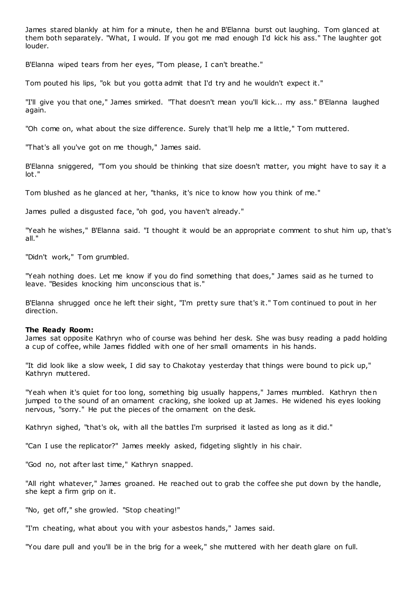James stared blankly at him for a minute, then he and B'Elanna burst out laughing. Tom glanced at them both separately. "What, I would. If you got me mad enough I'd kick his ass." The laughter got louder.

B'Elanna wiped tears from her eyes, "Tom please, I can't breathe."

Tom pouted his lips, "ok but you gotta admit that I'd try and he wouldn't expect it."

"I'll give you that one," James smirked. "That doesn't mean you'll kick... my ass." B'Elanna laughed again.

"Oh come on, what about the size difference. Surely that'll help me a little," Tom muttered.

"That's all you've got on me though," James said.

B'Elanna sniggered, "Tom you should be thinking that size doesn't matter, you might have to say it a lot."

Tom blushed as he glanced at her, "thanks, it's nice to know how you think of me."

James pulled a disgusted face, "oh god, you haven't already."

"Yeah he wishes," B'Elanna said. "I thought it would be an appropriate comment to shut him up, that's all."

"Didn't work," Tom grumbled.

"Yeah nothing does. Let me know if you do find something that does," James said as he turned to leave. "Besides knocking him unconscious that is."

B'Elanna shrugged once he left their sight, "I'm pretty sure that's it." Tom continued to pout in her direction.

## **The Ready Room:**

James sat opposite Kathryn who of course was behind her desk. She was busy reading a padd holding a cup of coffee, while James fiddled with one of her small ornaments in his hands.

"It did look like a slow week, I did say to Chakotay yesterday that things were bound to pick up," Kathryn muttered.

"Yeah when it's quiet for too long, something big usually happens," James mumbled. Kathryn then jumped to the sound of an ornament cracking, she looked up at James. He widened his eyes looking nervous, "sorry." He put the pieces of the ornament on the desk.

Kathryn sighed, "that's ok, with all the battles I'm surprised it lasted as long as it did."

"Can I use the replicator?" James meekly asked, fidgeting slightly in his chair.

"God no, not after last time," Kathryn snapped.

"All right whatever," James groaned. He reached out to grab the coffee she put down by the handle, she kept a firm grip on it.

"No, get off," she growled. "Stop cheating!"

"I'm cheating, what about you with your asbestos hands," James said.

"You dare pull and you'll be in the brig for a week," she muttered with her death glare on full.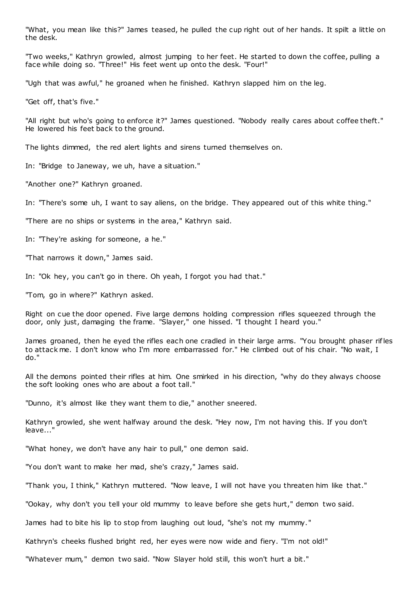"What, you mean like this?" James teased, he pulled the cup right out of her hands. It spilt a little on the desk.

"Two weeks," Kathryn growled, almost jumping to her feet. He started to down the coffee, pulling a face while doing so. "Three!" His feet went up onto the desk. "Four!"

"Ugh that was awful," he groaned when he finished. Kathryn slapped him on the leg.

"Get off, that's five."

"All right but who's going to enforce it?" James questioned. "Nobody really cares about coffee theft." He lowered his feet back to the ground.

The lights dimmed, the red alert lights and sirens turned themselves on.

In: "Bridge to Janeway, we uh, have a situation."

"Another one?" Kathryn groaned.

In: "There's some uh, I want to say aliens, on the bridge. They appeared out of this white thing."

"There are no ships or systems in the area," Kathryn said.

In: "They're asking for someone, a he."

"That narrows it down," James said.

In: "Ok hey, you can't go in there. Oh yeah, I forgot you had that."

"Tom, go in where?" Kathryn asked.

Right on cue the door opened. Five large demons holding compression rifles squeezed through the door, only just, damaging the frame. "Slayer," one hissed. "I thought I heard you."

James groaned, then he eyed the rifles each one cradled in their large arms. "You brought phaser rifles to attack me. I don't know who I'm more embarrassed for." He climbed out of his chair. "No wait, I do."

All the demons pointed their rifles at him. One smirked in his direction, "why do they always choose the soft looking ones who are about a foot tall."

"Dunno, it's almost like they want them to die," another sneered.

Kathryn growled, she went halfway around the desk. "Hey now, I'm not having this. If you don't leave..."

"What honey, we don't have any hair to pull," one demon said.

"You don't want to make her mad, she's crazy," James said.

"Thank you, I think," Kathryn muttered. "Now leave, I will not have you threaten him like that."

"Ookay, why don't you tell your old mummy to leave before she gets hurt," demon two said.

James had to bite his lip to stop from laughing out loud, "she's not my mummy."

Kathryn's cheeks flushed bright red, her eyes were now wide and fiery. "I'm not old!"

"Whatever mum," demon two said. "Now Slayer hold still, this won't hurt a bit."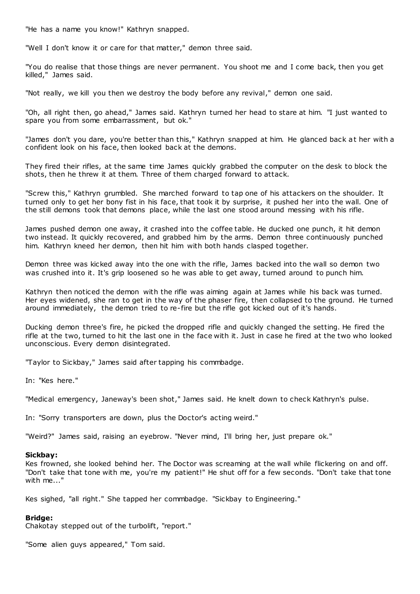"He has a name you know!" Kathryn snapped.

"Well I don't know it or care for that matter," demon three said.

"You do realise that those things are never permanent. You shoot me and I come back, then you get killed," James said.

"Not really, we kill you then we destroy the body before any revival," demon one said.

"Oh, all right then, go ahead," James said. Kathryn turned her head to stare at him. "I just wanted to spare you from some embarrassment, but ok."

"James don't you dare, you're better than this," Kathryn snapped at him. He glanced back at her with a confident look on his face, then looked back at the demons.

They fired their rifles, at the same time James quickly grabbed the computer on the desk to block the shots, then he threw it at them. Three of them charged forward to attack.

"Screw this," Kathryn grumbled. She marched forward to tap one of his attackers on the shoulder. It turned only to get her bony fist in his face, that took it by surprise, it pushed her into the wall. One of the still demons took that demons place, while the last one stood around messing with his rifle.

James pushed demon one away, it crashed into the coffee table. He ducked one punch, it hit demon two instead. It quickly recovered, and grabbed him by the arms. Demon three continuously punched him. Kathryn kneed her demon, then hit him with both hands clasped together.

Demon three was kicked away into the one with the rifle, James backed into the wall so demon two was crushed into it. It's grip loosened so he was able to get away, turned around to punch him.

Kathryn then noticed the demon with the rifle was aiming again at James while his back was turned. Her eyes widened, she ran to get in the way of the phaser fire, then collapsed to the ground. He turned around immediately, the demon tried to re-fire but the rifle got kicked out of it's hands.

Ducking demon three's fire, he picked the dropped rifle and quickly changed the setting. He fired the rifle at the two, turned to hit the last one in the face with it. Just in case he fired at the two who looked unconscious. Every demon disintegrated.

"Taylor to Sickbay," James said after tapping his commbadge.

In: "Kes here."

"Medical emergency, Janeway's been shot," James said. He knelt down to check Kathryn's pulse.

In: "Sorry transporters are down, plus the Doctor's acting weird."

"Weird?" James said, raising an eyebrow. "Never mind, I'll bring her, just prepare ok."

#### **Sickbay:**

Kes frowned, she looked behind her. The Doctor was screaming at the wall while flickering on and off. "Don't take that tone with me, you're my patient!" He shut off for a few seconds. "Don't take that tone with me..."

Kes sighed, "all right." She tapped her commbadge. "Sickbay to Engineering."

## **Bridge:**

Chakotay stepped out of the turbolift, "report."

"Some alien guys appeared," Tom said.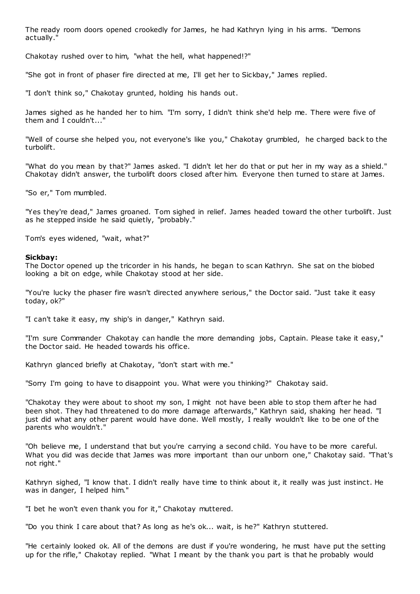The ready room doors opened crookedly for James, he had Kathryn lying in his arms. "Demons actually."

Chakotay rushed over to him, "what the hell, what happened!?"

"She got in front of phaser fire directed at me, I'll get her to Sickbay," James replied.

"I don't think so," Chakotay grunted, holding his hands out.

James sighed as he handed her to him. "I'm sorry, I didn't think she'd help me. There were five of them and I couldn't..."

"Well of course she helped you, not everyone's like you," Chakotay grumbled, he charged back to the turbolift.

"What do you mean by that?" James asked. "I didn't let her do that or put her in my way as a shield." Chakotay didn't answer, the turbolift doors closed after him. Everyone then turned to stare at James.

"So er," Tom mumbled.

"Yes they're dead," James groaned. Tom sighed in relief. James headed toward the other turbolift. Just as he stepped inside he said quietly, "probably."

Tom's eyes widened, "wait, what?"

#### **Sickbay:**

The Doctor opened up the tricorder in his hands, he began to scan Kathryn. She sat on the biobed looking a bit on edge, while Chakotay stood at her side.

"You're lucky the phaser fire wasn't directed anywhere serious," the Doctor said. "Just take it easy today, ok?"

"I can't take it easy, my ship's in danger," Kathryn said.

"I'm sure Commander Chakotay can handle the more demanding jobs, Captain. Please take it easy," the Doctor said. He headed towards his office.

Kathryn glanced briefly at Chakotay, "don't start with me."

"Sorry I'm going to have to disappoint you. What were you thinking?" Chakotay said.

"Chakotay they were about to shoot my son, I might not have been able to stop them after he had been shot. They had threatened to do more damage afterwards," Kathryn said, shaking her head. "I just did what any other parent would have done. Well mostly, I really wouldn't like to be one of the parents who wouldn't."

"Oh believe me, I understand that but you're carrying a second child. You have to be more careful. What you did was decide that James was more important than our unborn one," Chakotay said. "That's not right."

Kathryn sighed, "I know that. I didn't really have time to think about it, it really was just instinct. He was in danger, I helped him."

"I bet he won't even thank you for it," Chakotay muttered.

"Do you think I care about that? As long as he's ok... wait, is he?" Kathryn stuttered.

"He certainly looked ok. All of the demons are dust if you're wondering, he must have put the setting up for the rifle," Chakotay replied. "What I meant by the thank you part is that he probably would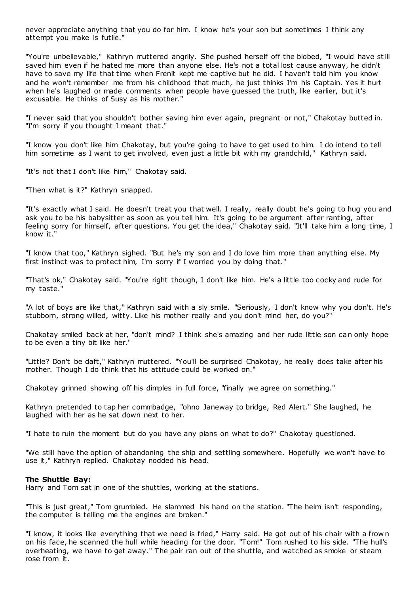never appreciate anything that you do for him. I know he's your son but sometimes I think any attempt you make is futile."

"You're unbelievable," Kathryn muttered angrily. She pushed herself off the biobed, "I would have still saved him even if he hated me more than anyone else. He's not a total lost cause anyway, he didn't have to save my life that time when Frenit kept me captive but he did. I haven't told him you know and he won't remember me from his childhood that much, he just thinks I'm his Captain. Yes it hurt when he's laughed or made comments when people have guessed the truth, like earlier, but it's excusable. He thinks of Susy as his mother."

"I never said that you shouldn't bother saving him ever again, pregnant or not," Chakotay butted in. "I'm sorry if you thought I meant that."

"I know you don't like him Chakotay, but you're going to have to get used to him. I do intend to tell him sometime as I want to get involved, even just a little bit with my grandchild," Kathryn said.

"It's not that I don't like him," Chakotay said.

"Then what is it?" Kathryn snapped.

"It's exactly what I said. He doesn't treat you that well. I really, really doubt he's going to hug you and ask you to be his babysitter as soon as you tell him. It's going to be argument after ranting, after feeling sorry for himself, after questions. You get the idea," Chakotay said. "It'll take him a long time, I know it."

"I know that too," Kathryn sighed. "But he's my son and I do love him more than anything else. My first instinct was to protect him, I'm sorry if I worried you by doing that."

"That's ok," Chakotay said. "You're right though, I don't like him. He's a little too cocky and rude for my taste."

"A lot of boys are like that," Kathryn said with a sly smile. "Seriously, I don't know why you don't. He's stubborn, strong willed, witty. Like his mother really and you don't mind her, do you?"

Chakotay smiled back at her, "don't mind? I think she's amazing and her rude little son can only hope to be even a tiny bit like her."

"Little? Don't be daft," Kathryn muttered. "You'll be surprised Chakotay, he really does take after his mother. Though I do think that his attitude could be worked on."

Chakotay grinned showing off his dimples in full force, "finally we agree on something."

Kathryn pretended to tap her commbadge, "ohno Janeway to bridge, Red Alert." She laughed, he laughed with her as he sat down next to her.

"I hate to ruin the moment but do you have any plans on what to do?" Chakotay questioned.

"We still have the option of abandoning the ship and settling somewhere. Hopefully we won't have to use it," Kathryn replied. Chakotay nodded his head.

#### **The Shuttle Bay:**

Harry and Tom sat in one of the shuttles, working at the stations.

"This is just great," Tom grumbled. He slammed his hand on the station. "The helm isn't responding, the computer is telling me the engines are broken."

"I know, it looks like everything that we need is fried," Harry said. He got out of his chair with a frow n on his face, he scanned the hull while heading for the door. "Tom!" Tom rushed to his side. "The hull's overheating, we have to get away." The pair ran out of the shuttle, and watched as smoke or steam rose from it.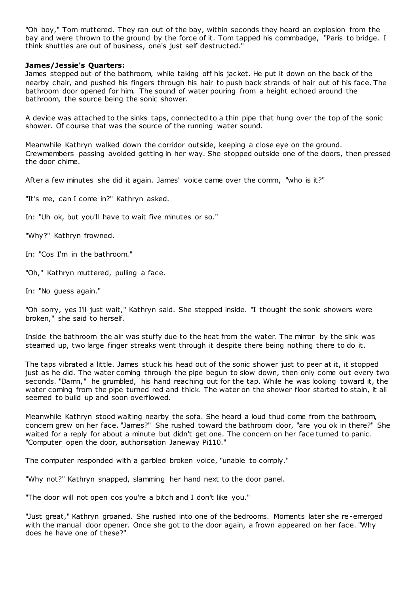"Oh boy," Tom muttered. They ran out of the bay, within seconds they heard an explosion from the bay and were thrown to the ground by the force of it. Tom tapped his commbadge, "Paris to bridge. I think shuttles are out of business, one's just self destructed."

## **James/Jessie's Quarters:**

James stepped out of the bathroom, while taking off his jacket. He put it down on the back of the nearby chair, and pushed his fingers through his hair to push back strands of hair out of his face. The bathroom door opened for him. The sound of water pouring from a height echoed around the bathroom, the source being the sonic shower.

A device was attached to the sinks taps, connected to a thin pipe that hung over the top of the sonic shower. Of course that was the source of the running water sound.

Meanwhile Kathryn walked down the corridor outside, keeping a close eye on the ground. Crewmembers passing avoided getting in her way. She stopped outside one of the doors, then pressed the door chime.

After a few minutes she did it again. James' voice came over the comm, "who is it?"

"It's me, can I come in?" Kathryn asked.

In: "Uh ok, but you'll have to wait five minutes or so."

"Why?" Kathryn frowned.

In: "Cos I'm in the bathroom."

"Oh," Kathryn muttered, pulling a face.

In: "No guess again."

"Oh sorry, yes I'll just wait," Kathryn said. She stepped inside. "I thought the sonic showers were broken," she said to herself.

Inside the bathroom the air was stuffy due to the heat from the water. The mirror by the sink was steamed up, two large finger streaks went through it despite there being nothing there to do it.

The taps vibrated a little. James stuck his head out of the sonic shower just to peer at it, it stopped just as he did. The water coming through the pipe begun to slow down, then only come out every two seconds. "Damn," he grumbled, his hand reaching out for the tap. While he was looking toward it, the water coming from the pipe turned red and thick. The water on the shower floor started to stain, it all seemed to build up and soon overflowed.

Meanwhile Kathryn stood waiting nearby the sofa. She heard a loud thud come from the bathroom, concern grew on her face. "James?" She rushed toward the bathroom door, "are you ok in there?" She waited for a reply for about a minute but didn't get one. The concern on her face turned to panic. "Computer open the door, authorisation Janeway Pi110."

The computer responded with a garbled broken voice, "unable to comply."

"Why not?" Kathryn snapped, slamming her hand next to the door panel.

"The door will not open cos you're a bitch and I don't like you."

"Just great," Kathryn groaned. She rushed into one of the bedrooms. Moments later she re-emerged with the manual door opener. Once she got to the door again, a frown appeared on her face. "Why does he have one of these?"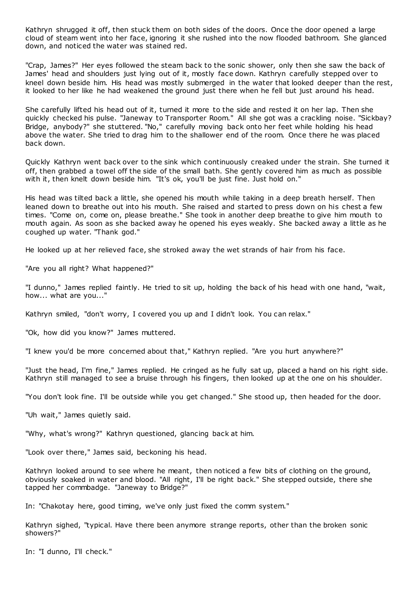Kathryn shrugged it off, then stuck them on both sides of the doors. Once the door opened a large cloud of steam went into her face, ignoring it she rushed into the now flooded bathroom. She glanced down, and noticed the water was stained red.

"Crap, James?" Her eyes followed the steam back to the sonic shower, only then she saw the back of James' head and shoulders just lying out of it, mostly face down. Kathryn carefully stepped over to kneel down beside him. His head was mostly submerged in the water that looked deeper than the rest, it looked to her like he had weakened the ground just there when he fell but just around his head.

She carefully lifted his head out of it, turned it more to the side and rested it on her lap. Then she quickly checked his pulse. "Janeway to Transporter Room." All she got was a crackling noise. "Sickbay? Bridge, anybody?" she stuttered. "No," carefully moving back onto her feet while holding his head above the water. She tried to drag him to the shallower end of the room. Once there he was placed back down.

Quickly Kathryn went back over to the sink which continuously creaked under the strain. She turned it off, then grabbed a towel off the side of the small bath. She gently covered him as much as possible with it, then knelt down beside him. "It's ok, you'll be just fine. Just hold on."

His head was tilted back a little, she opened his mouth while taking in a deep breath herself. Then leaned down to breathe out into his mouth. She raised and started to press down on his chest a few times. "Come on, come on, please breathe." She took in another deep breathe to give him mouth to mouth again. As soon as she backed away he opened his eyes weakly. She backed away a little as he coughed up water. "Thank god."

He looked up at her relieved face, she stroked away the wet strands of hair from his face.

"Are you all right? What happened?"

"I dunno," James replied faintly. He tried to sit up, holding the back of his head with one hand, "wait, how... what are you..."

Kathryn smiled, "don't worry, I covered you up and I didn't look. You can relax."

"Ok, how did you know?" James muttered.

"I knew you'd be more concerned about that," Kathryn replied. "Are you hurt anywhere?"

"Just the head, I'm fine," James replied. He cringed as he fully sat up, placed a hand on his right side. Kathryn still managed to see a bruise through his fingers, then looked up at the one on his shoulder.

"You don't look fine. I'll be outside while you get changed." She stood up, then headed for the door.

"Uh wait," James quietly said.

"Why, what's wrong?" Kathryn questioned, glancing back at him.

"Look over there," James said, beckoning his head.

Kathryn looked around to see where he meant, then noticed a few bits of clothing on the ground, obviously soaked in water and blood. "All right, I'll be right back." She stepped outside, there she tapped her commbadge. "Janeway to Bridge?"

In: "Chakotay here, good timing, we've only just fixed the comm system."

Kathryn sighed, "typical. Have there been anymore strange reports, other than the broken sonic showers?"

In: "I dunno, I'll check."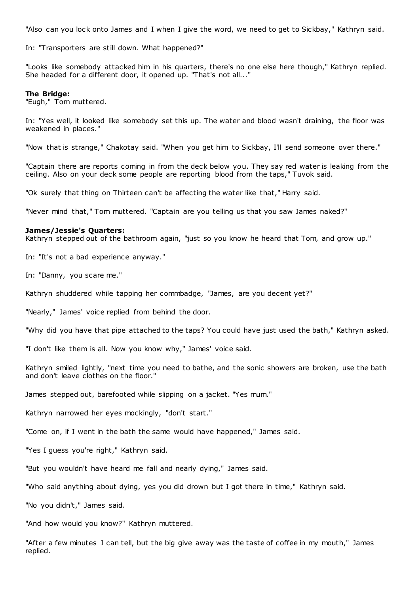"Also can you lock onto James and I when I give the word, we need to get to Sickbay," Kathryn said.

In: "Transporters are still down. What happened?"

"Looks like somebody attacked him in his quarters, there's no one else here though," Kathryn replied. She headed for a different door, it opened up. "That's not all..."

#### **The Bridge:**

"Eugh," Tom muttered.

In: "Yes well, it looked like somebody set this up. The water and blood wasn't draining, the floor was weakened in places."

"Now that is strange," Chakotay said. "When you get him to Sickbay, I'll send someone over there."

"Captain there are reports coming in from the deck below you. They say red water is leaking from the ceiling. Also on your deck some people are reporting blood from the taps," Tuvok said.

"Ok surely that thing on Thirteen can't be affecting the water like that," Harry said.

"Never mind that," Tom muttered. "Captain are you telling us that you saw James naked?"

#### **James/Jessie's Quarters:**

Kathryn stepped out of the bathroom again, "just so you know he heard that Tom, and grow up."

In: "It's not a bad experience anyway."

In: "Danny, you scare me."

Kathryn shuddered while tapping her commbadge, "James, are you decent yet?"

"Nearly," James' voice replied from behind the door.

"Why did you have that pipe attached to the taps? You could have just used the bath," Kathryn asked.

"I don't like them is all. Now you know why," James' voice said.

Kathryn smiled lightly, "next time you need to bathe, and the sonic showers are broken, use the bath and don't leave clothes on the floor."

James stepped out, barefooted while slipping on a jacket. "Yes mum."

Kathryn narrowed her eyes mockingly, "don't start."

"Come on, if I went in the bath the same would have happened," James said.

"Yes I guess you're right," Kathryn said.

"But you wouldn't have heard me fall and nearly dying," James said.

"Who said anything about dying, yes you did drown but I got there in time," Kathryn said.

"No you didn't," James said.

"And how would you know?" Kathryn muttered.

"After a few minutes I can tell, but the big give away was the taste of coffee in my mouth," James replied.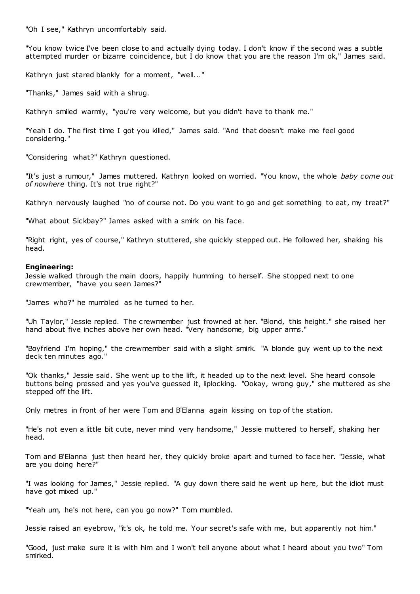"Oh I see," Kathryn uncomfortably said.

"You know twice I've been close to and actually dying today. I don't know if the second was a subtle attempted murder or bizarre coincidence, but I do know that you are the reason I'm ok," James said.

Kathryn just stared blankly for a moment, "well..."

"Thanks," James said with a shrug.

Kathryn smiled warmly, "you're very welcome, but you didn't have to thank me."

"Yeah I do. The first time I got you killed," James said. "And that doesn't make me feel good considering."

"Considering what?" Kathryn questioned.

"It's just a rumour," James muttered. Kathryn looked on worried. "You know, the whole *baby come out of nowhere* thing. It's not true right?"

Kathryn nervously laughed "no of course not. Do you want to go and get something to eat, my treat?"

"What about Sickbay?" James asked with a smirk on his face.

"Right right, yes of course," Kathryn stuttered, she quickly stepped out. He followed her, shaking his head.

#### **Engineering:**

Jessie walked through the main doors, happily humming to herself. She stopped next to one crewmember, "have you seen James?"

"James who?" he mumbled as he turned to her.

"Uh Taylor," Jessie replied. The crewmember just frowned at her. "Blond, this height." she raised her hand about five inches above her own head. "Very handsome, big upper arms."

"Boyfriend I'm hoping," the crewmember said with a slight smirk. "A blonde guy went up to the next deck ten minutes ago."

"Ok thanks," Jessie said. She went up to the lift, it headed up to the next level. She heard console buttons being pressed and yes you've guessed it, liplocking. "Ookay, wrong guy," she muttered as she stepped off the lift.

Only metres in front of her were Tom and B'Elanna again kissing on top of the station.

"He's not even a little bit cute, never mind very handsome," Jessie muttered to herself, shaking her head.

Tom and B'Elanna just then heard her, they quickly broke apart and turned to face her. "Jessie, what are you doing here?"

"I was looking for James," Jessie replied. "A guy down there said he went up here, but the idiot must have got mixed up."

"Yeah um, he's not here, can you go now?" Tom mumbled.

Jessie raised an eyebrow, "it's ok, he told me. Your secret's safe with me, but apparently not him."

"Good, just make sure it is with him and I won't tell anyone about what I heard about you two" Tom smirked.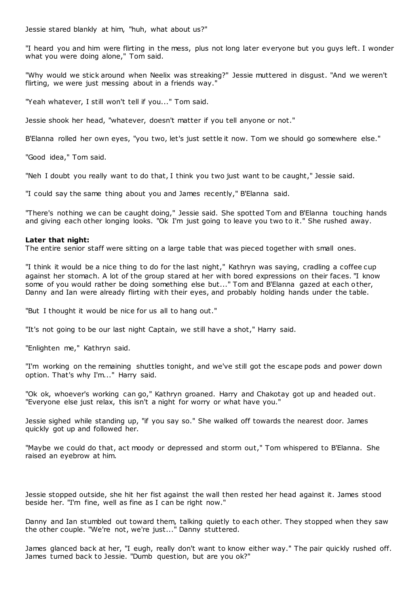Jessie stared blankly at him, "huh, what about us?"

"I heard you and him were flirting in the mess, plus not long later everyone but you guys left. I wonder what you were doing alone," Tom said.

"Why would we stick around when Neelix was streaking?" Jessie muttered in disgust. "And we weren't flirting, we were just messing about in a friends way.'

"Yeah whatever, I still won't tell if you..." Tom said.

Jessie shook her head, "whatever, doesn't matter if you tell anyone or not."

B'Elanna rolled her own eyes, "you two, let's just settle it now. Tom we should go somewhere else."

"Good idea," Tom said.

"Neh I doubt you really want to do that, I think you two just want to be caught," Jessie said.

"I could say the same thing about you and James recently," B'Elanna said.

"There's nothing we can be caught doing," Jessie said. She spotted Tom and B'Elanna touching hands and giving each other longing looks. "Ok I'm just going to leave you two to it." She rushed away.

## **Later that night:**

The entire senior staff were sitting on a large table that was pieced together with small ones.

"I think it would be a nice thing to do for the last night," Kathryn was saying, cradling a coffee cup against her stomach. A lot of the group stared at her with bored expressions on their faces. "I know some of you would rather be doing something else but..." Tom and B'Elanna gazed at each other, Danny and Ian were already flirting with their eyes, and probably holding hands under the table.

"But I thought it would be nice for us all to hang out."

"It's not going to be our last night Captain, we still have a shot," Harry said.

"Enlighten me," Kathryn said.

"I'm working on the remaining shuttles tonight, and we've still got the escape pods and power down option. That's why I'm..." Harry said.

"Ok ok, whoever's working can go," Kathryn groaned. Harry and Chakotay got up and headed out. "Everyone else just relax, this isn't a night for worry or what have you."

Jessie sighed while standing up, "if you say so." She walked off towards the nearest door. James quickly got up and followed her.

"Maybe we could do that, act moody or depressed and storm out," Tom whispered to B'Elanna. She raised an eyebrow at him.

Jessie stopped outside, she hit her fist against the wall then rested her head against it. James stood beside her. "I'm fine, well as fine as I can be right now."

Danny and Ian stumbled out toward them, talking quietly to each other. They stopped when they saw the other couple. "We're not, we're just..." Danny stuttered.

James glanced back at her, "I eugh, really don't want to know either way." The pair quickly rushed off. James turned back to Jessie. "Dumb question, but are you ok?"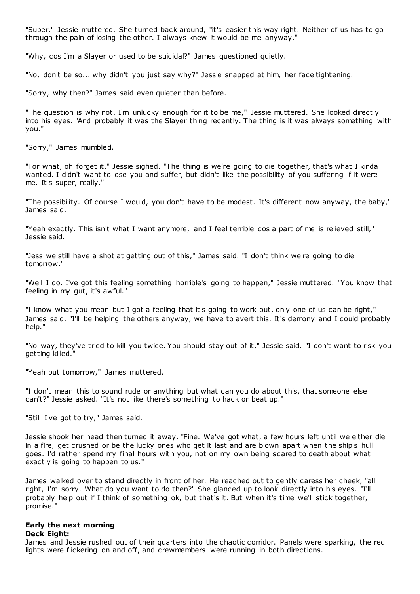"Super," Jessie muttered. She turned back around, "it's easier this way right. Neither of us has to go through the pain of losing the other. I always knew it would be me anyway."

"Why, cos I'm a Slayer or used to be suicidal?" James questioned quietly.

"No, don't be so... why didn't you just say why?" Jessie snapped at him, her face tightening.

"Sorry, why then?" James said even quieter than before.

"The question is why not. I'm unlucky enough for it to be me," Jessie muttered. She looked directly into his eyes. "And probably it was the Slayer thing recently. The thing is it was always something with you."

"Sorry," James mumbled.

"For what, oh forget it," Jessie sighed. "The thing is we're going to die together, that's what I kinda wanted. I didn't want to lose you and suffer, but didn't like the possibility of you suffering if it were me. It's super, really."

"The possibility. Of course I would, you don't have to be modest. It's different now anyway, the baby," James said.

"Yeah exactly. This isn't what I want anymore, and I feel terrible cos a part of me is relieved still," Jessie said.

"Jess we still have a shot at getting out of this," James said. "I don't think we're going to die tomorrow."

"Well I do. I've got this feeling something horrible's going to happen," Jessie muttered. "You know that feeling in my gut, it's awful."

"I know what you mean but I got a feeling that it's going to work out, only one of us can be right," James said. "I'll be helping the others anyway, we have to avert this. It's demony and I could probably help."

"No way, they've tried to kill you twice. You should stay out of it," Jessie said. "I don't want to risk you getting killed."

"Yeah but tomorrow," James muttered.

"I don't mean this to sound rude or anything but what can you do about this, that someone else can't?" Jessie asked. "It's not like there's something to hack or beat up."

"Still I've got to try," James said.

Jessie shook her head then turned it away. "Fine. We've got what, a few hours left until we either die in a fire, get crushed or be the lucky ones who get it last and are blown apart when the ship's hull goes. I'd rather spend my final hours with you, not on my own being scared to death about what exactly is going to happen to us."

James walked over to stand directly in front of her. He reached out to gently caress her cheek, "all right, I'm sorry. What do you want to do then?" She glanced up to look directly into his eyes. "I'll probably help out if I think of something ok, but that's it. But when it's time we'll stick together, promise."

## **Early the next morning**

#### **Deck Eight:**

James and Jessie rushed out of their quarters into the chaotic corridor. Panels were sparking, the red lights were flickering on and off, and crewmembers were running in both directions.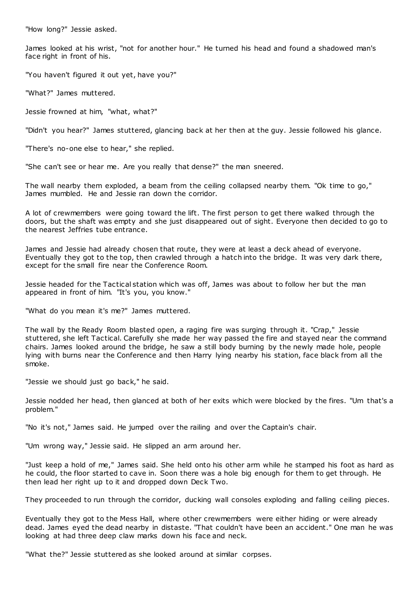"How long?" Jessie asked.

James looked at his wrist, "not for another hour." He turned his head and found a shadowed man's face right in front of his.

"You haven't figured it out yet, have you?"

"What?" James muttered.

Jessie frowned at him, "what, what?"

"Didn't you hear?" James stuttered, glancing back at her then at the guy. Jessie followed his glance.

"There's no-one else to hear," she replied.

"She can't see or hear me. Are you really that dense?" the man sneered.

The wall nearby them exploded, a beam from the ceiling collapsed nearby them. "Ok time to go," James mumbled. He and Jessie ran down the corridor.

A lot of crewmembers were going toward the lift. The first person to get there walked through the doors, but the shaft was empty and she just disappeared out of sight. Everyone then decided to go to the nearest Jeffries tube entrance.

James and Jessie had already chosen that route, they were at least a deck ahead of everyone. Eventually they got to the top, then crawled through a hatch into the bridge. It was very dark there, except for the small fire near the Conference Room.

Jessie headed for the Tactical station which was off, James was about to follow her but the man appeared in front of him. "It's you, you know."

"What do you mean it's me?" James muttered.

The wall by the Ready Room blasted open, a raging fire was surging through it. "Crap," Jessie stuttered, she left Tactical. Carefully she made her way passed the fire and stayed near the command chairs. James looked around the bridge, he saw a still body burning by the newly made hole, people lying with burns near the Conference and then Harry lying nearby his station, face black from all the smoke.

"Jessie we should just go back," he said.

Jessie nodded her head, then glanced at both of her exits which were blocked by the fires. "Um that's a problem."

"No it's not," James said. He jumped over the railing and over the Captain's chair.

"Um wrong way," Jessie said. He slipped an arm around her.

"Just keep a hold of me," James said. She held onto his other arm while he stamped his foot as hard as he could, the floor started to cave in. Soon there was a hole big enough for them to get through. He then lead her right up to it and dropped down Deck Two.

They proceeded to run through the corridor, ducking wall consoles exploding and falling ceiling pieces.

Eventually they got to the Mess Hall, where other crewmembers were either hiding or were already dead. James eyed the dead nearby in distaste. "That couldn't have been an accident." One man he was looking at had three deep claw marks down his face and neck.

"What the?" Jessie stuttered as she looked around at similar corpses.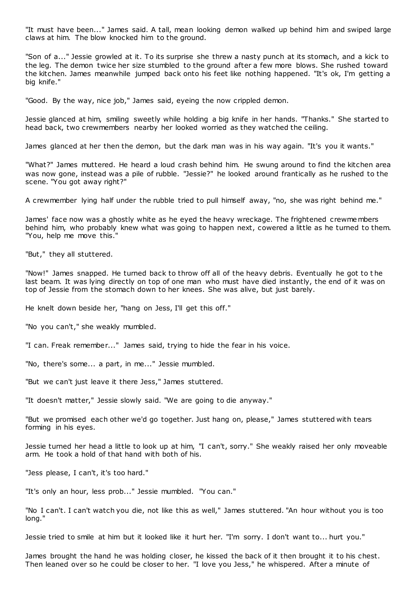"It must have been..." James said. A tall, mean looking demon walked up behind him and swiped large claws at him. The blow knocked him to the ground.

"Son of a..." Jessie growled at it. To its surprise she threw a nasty punch at its stomach, and a kick to the leg. The demon twice her size stumbled to the ground after a few more blows. She rushed toward the kitchen. James meanwhile jumped back onto his feet like nothing happened. "It's ok, I'm getting a big knife."

"Good. By the way, nice job," James said, eyeing the now crippled demon.

Jessie glanced at him, smiling sweetly while holding a big knife in her hands. "Thanks." She started to head back, two crewmembers nearby her looked worried as they watched the ceiling.

James glanced at her then the demon, but the dark man was in his way again. "It's you it wants."

"What?" James muttered. He heard a loud crash behind him. He swung around to find the kitchen area was now gone, instead was a pile of rubble. "Jessie?" he looked around frantically as he rushed to the scene. "You got away right?"

A crewmember lying half under the rubble tried to pull himself away, "no, she was right behind me."

James' face now was a ghostly white as he eyed the heavy wreckage. The frightened crewmembers behind him, who probably knew what was going to happen next, cowered a little as he turned to them. "You, help me move this."

"But," they all stuttered.

"Now!" James snapped. He turned back to throw off all of the heavy debris. Eventually he got to t he last beam. It was lying directly on top of one man who must have died instantly, the end of it was on top of Jessie from the stomach down to her knees. She was alive, but just barely.

He knelt down beside her, "hang on Jess, I'll get this off."

"No you can't," she weakly mumbled.

"I can. Freak remember..." James said, trying to hide the fear in his voice.

"No, there's some... a part, in me..." Jessie mumbled.

"But we can't just leave it there Jess," James stuttered.

"It doesn't matter," Jessie slowly said. "We are going to die anyway."

"But we promised each other we'd go together. Just hang on, please," James stuttered with tears forming in his eyes.

Jessie turned her head a little to look up at him, "I can't, sorry." She weakly raised her only moveable arm. He took a hold of that hand with both of his.

"Jess please, I can't, it's too hard."

"It's only an hour, less prob..." Jessie mumbled. "You can."

"No I can't. I can't watch you die, not like this as well," James stuttered. "An hour without you is too long."

Jessie tried to smile at him but it looked like it hurt her. "I'm sorry. I don't want to... hurt you."

James brought the hand he was holding closer, he kissed the back of it then brought it to his chest. Then leaned over so he could be closer to her. "I love you Jess," he whispered. After a minute of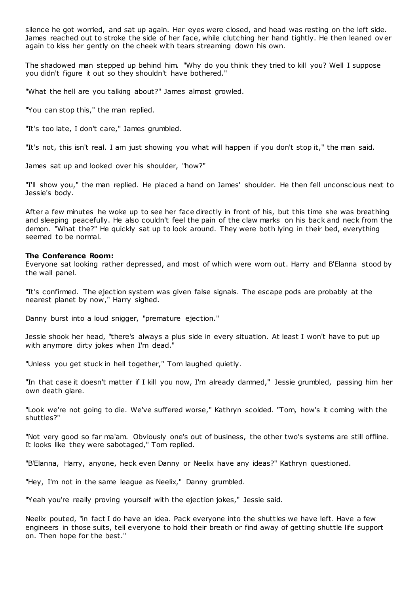silence he got worried, and sat up again. Her eyes were closed, and head was resting on the left side. James reached out to stroke the side of her face, while clutching her hand tightly. He then leaned ov er again to kiss her gently on the cheek with tears streaming down his own.

The shadowed man stepped up behind him. "Why do you think they tried to kill you? Well I suppose you didn't figure it out so they shouldn't have bothered."

"What the hell are you talking about?" James almost growled.

"You can stop this," the man replied.

"It's too late, I don't care," James grumbled.

"It's not, this isn't real. I am just showing you what will happen if you don't stop it," the man said.

James sat up and looked over his shoulder, "how?"

"I'll show you," the man replied. He placed a hand on James' shoulder. He then fell unconscious next to Jessie's body.

After a few minutes he woke up to see her face directly in front of his, but this time she was breathing and sleeping peacefully. He also couldn't feel the pain of the claw marks on his back and neck from the demon. "What the?" He quickly sat up to look around. They were both lying in their bed, everything seemed to be normal.

#### **The Conference Room:**

Everyone sat looking rather depressed, and most of which were worn out. Harry and B'Elanna stood by the wall panel.

"It's confirmed. The ejection system was given false signals. The escape pods are probably at the nearest planet by now," Harry sighed.

Danny burst into a loud snigger, "premature ejection."

Jessie shook her head, "there's always a plus side in every situation. At least I won't have to put up with anymore dirty jokes when I'm dead."

"Unless you get stuck in hell together," Tom laughed quietly.

"In that case it doesn't matter if I kill you now, I'm already damned," Jessie grumbled, passing him her own death glare.

"Look we're not going to die. We've suffered worse," Kathryn scolded. "Tom, how's it coming with the shuttles?"

"Not very good so far ma'am. Obviously one's out of business, the other two's systems are still offline. It looks like they were sabotaged," Tom replied.

"B'Elanna, Harry, anyone, heck even Danny or Neelix have any ideas?" Kathryn questioned.

"Hey, I'm not in the same league as Neelix," Danny grumbled.

"Yeah you're really proving yourself with the ejection jokes," Jessie said.

Neelix pouted, "in fact I do have an idea. Pack everyone into the shuttles we have left. Have a few engineers in those suits, tell everyone to hold their breath or find away of getting shuttle life support on. Then hope for the best."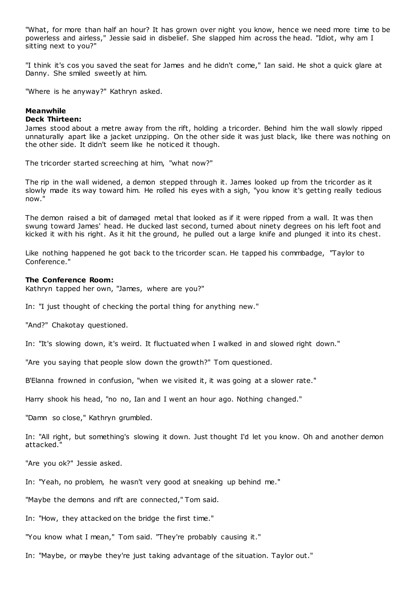"What, for more than half an hour? It has grown over night you know, hence we need more time to be powerless and airless," Jessie said in disbelief. She slapped him across the head. "Idiot, why am I sitting next to you?"

"I think it's cos you saved the seat for James and he didn't come," Ian said. He shot a quick glare at Danny. She smiled sweetly at him.

"Where is he anyway?" Kathryn asked.

#### **Meanwhile Deck Thirteen:**

James stood about a metre away from the rift, holding a tricorder. Behind him the wall slowly ripped unnaturally apart like a jacket unzipping. On the other side it was just black, like there was nothing on the other side. It didn't seem like he noticed it though.

The tricorder started screeching at him, "what now?"

The rip in the wall widened, a demon stepped through it. James looked up from the tricorder as it slowly made its way toward him. He rolled his eyes with a sigh, "you know it's getting really tedious now."

The demon raised a bit of damaged metal that looked as if it were ripped from a wall. It was then swung toward James' head. He ducked last second, turned about ninety degrees on his left foot and kicked it with his right. As it hit the ground, he pulled out a large knife and plunged it into its chest.

Like nothing happened he got back to the tricorder scan. He tapped his commbadge, "Taylor to Conference."

## **The Conference Room:**

Kathryn tapped her own, "James, where are you?"

In: "I just thought of checking the portal thing for anything new."

"And?" Chakotay questioned.

In: "It's slowing down, it's weird. It fluctuated when I walked in and slowed right down."

"Are you saying that people slow down the growth?" Tom questioned.

B'Elanna frowned in confusion, "when we visited it, it was going at a slower rate."

Harry shook his head, "no no, Ian and I went an hour ago. Nothing changed."

"Damn so close," Kathryn grumbled.

In: "All right, but something's slowing it down. Just thought I'd let you know. Oh and another demon attacked."

"Are you ok?" Jessie asked.

In: "Yeah, no problem, he wasn't very good at sneaking up behind me."

"Maybe the demons and rift are connected," Tom said.

In: "How, they attacked on the bridge the first time."

"You know what I mean," Tom said. "They're probably causing it."

In: "Maybe, or maybe they're just taking advantage of the situation. Taylor out."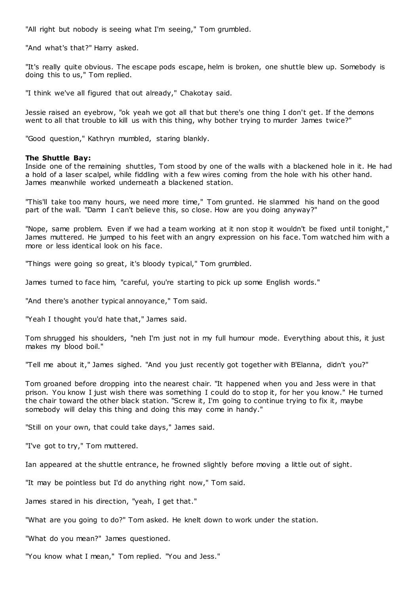"All right but nobody is seeing what I'm seeing," Tom grumbled.

"And what's that?" Harry asked.

"It's really quite obvious. The escape pods escape, helm is broken, one shuttle blew up. Somebody is doing this to us," Tom replied.

"I think we've all figured that out already," Chakotay said.

Jessie raised an eyebrow, "ok yeah we got all that but there's one thing I don't get. If the demons went to all that trouble to kill us with this thing, why bother trying to murder James twice?"

"Good question," Kathryn mumbled, staring blankly.

#### **The Shuttle Bay:**

Inside one of the remaining shuttles, Tom stood by one of the walls with a blackened hole in it. He had a hold of a laser scalpel, while fiddling with a few wires coming from the hole with his other hand. James meanwhile worked underneath a blackened station.

"This'll take too many hours, we need more time," Tom grunted. He slammed his hand on the good part of the wall. "Damn I can't believe this, so close. How are you doing anyway?"

"Nope, same problem. Even if we had a team working at it non stop it wouldn't be fixed until tonight," James muttered. He jumped to his feet with an angry expression on his face. Tom watched him with a more or less identical look on his face.

"Things were going so great, it's bloody typical," Tom grumbled.

James turned to face him, "careful, you're starting to pick up some English words."

"And there's another typical annoyance," Tom said.

"Yeah I thought you'd hate that," James said.

Tom shrugged his shoulders, "neh I'm just not in my full humour mode. Everything about this, it just makes my blood boil."

"Tell me about it," James sighed. "And you just recently got together with B'Elanna, didn't you?"

Tom groaned before dropping into the nearest chair. "It happened when you and Jess were in that prison. You know I just wish there was something I could do to stop it, for her you know." He turned the chair toward the other black station. "Screw it, I'm going to continue trying to fix it, maybe somebody will delay this thing and doing this may come in handy."

"Still on your own, that could take days," James said.

"I've got to try," Tom muttered.

Ian appeared at the shuttle entrance, he frowned slightly before moving a little out of sight.

"It may be pointless but I'd do anything right now," Tom said.

James stared in his direction, "yeah, I get that."

"What are you going to do?" Tom asked. He knelt down to work under the station.

"What do you mean?" James questioned.

"You know what I mean," Tom replied. "You and Jess."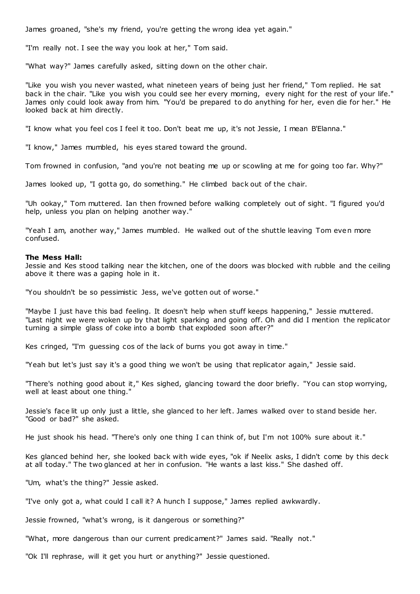James groaned, "she's my friend, you're getting the wrong idea yet again."

"I'm really not. I see the way you look at her," Tom said.

"What way?" James carefully asked, sitting down on the other chair.

"Like you wish you never wasted, what nineteen years of being just her friend," Tom replied. He sat back in the chair. "Like you wish you could see her every morning, every night for the rest of your life." James only could look away from him. "You'd be prepared to do anything for her, even die for her." He looked back at him directly.

"I know what you feel cos I feel it too. Don't beat me up, it's not Jessie, I mean B'Elanna."

"I know," James mumbled, his eyes stared toward the ground.

Tom frowned in confusion, "and you're not beating me up or scowling at me for going too far. Why?"

James looked up, "I gotta go, do something." He climbed back out of the chair.

"Uh ookay," Tom muttered. Ian then frowned before walking completely out of sight. "I figured you'd help, unless you plan on helping another way."

"Yeah I am, another way," James mumbled. He walked out of the shuttle leaving Tom even more confused.

## **The Mess Hall:**

Jessie and Kes stood talking near the kitchen, one of the doors was blocked with rubble and the ceiling above it there was a gaping hole in it.

"You shouldn't be so pessimistic Jess, we've gotten out of worse."

"Maybe I just have this bad feeling. It doesn't help when stuff keeps happening," Jessie muttered. "Last night we were woken up by that light sparking and going off. Oh and did I mention the replicator turning a simple glass of coke into a bomb that exploded soon after?"

Kes cringed, "I'm guessing cos of the lack of burns you got away in time."

"Yeah but let's just say it's a good thing we won't be using that replicator again," Jessie said.

"There's nothing good about it," Kes sighed, glancing toward the door briefly. "You can stop worrying, well at least about one thing."

Jessie's face lit up only just a little, she glanced to her left. James walked over to stand beside her. "Good or bad?" she asked.

He just shook his head. "There's only one thing I can think of, but I'm not 100% sure about it."

Kes glanced behind her, she looked back with wide eyes, "ok if Neelix asks, I didn't come by this deck at all today." The two glanced at her in confusion. "He wants a last kiss." She dashed off.

"Um, what's the thing?" Jessie asked.

"I've only got a, what could I call it? A hunch I suppose," James replied awkwardly.

Jessie frowned, "what's wrong, is it dangerous or something?"

"What, more dangerous than our current predicament?" James said. "Really not."

"Ok I'll rephrase, will it get you hurt or anything?" Jessie questioned.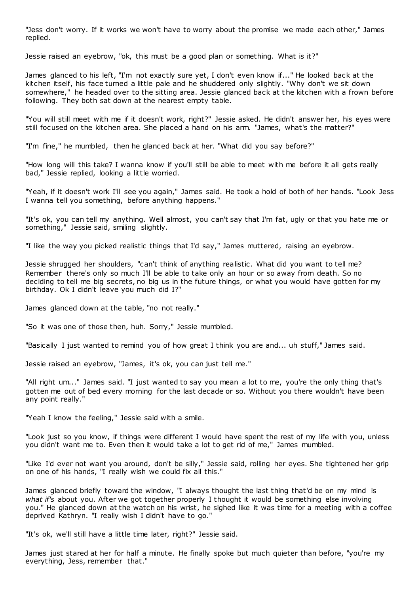"Jess don't worry. If it works we won't have to worry about the promise we made each other," James replied.

Jessie raised an eyebrow, "ok, this must be a good plan or something. What is it?"

James glanced to his left, "I'm not exactly sure yet, I don't even know if..." He looked back at the kitchen itself, his face turned a little pale and he shuddered only slightly. "Why don't we sit down somewhere," he headed over to the sitting area. Jessie glanced back at t he kitchen with a frown before following. They both sat down at the nearest empty table.

"You will still meet with me if it doesn't work, right?" Jessie asked. He didn't answer her, his eyes were still focused on the kitchen area. She placed a hand on his arm. "James, what's the matter?"

"I'm fine," he mumbled, then he glanced back at her. "What did you say before?"

"How long will this take? I wanna know if you'll still be able to meet with me before it all gets really bad," Jessie replied, looking a little worried.

"Yeah, if it doesn't work I'll see you again," James said. He took a hold of both of her hands. "Look Jess I wanna tell you something, before anything happens."

"It's ok, you can tell my anything. Well almost, you can't say that I'm fat, ugly or that you hate me or something," Jessie said, smiling slightly.

"I like the way you picked realistic things that I'd say," James muttered, raising an eyebrow.

Jessie shrugged her shoulders, "can't think of anything realistic . What did you want to tell me? Remember there's only so much I'll be able to take only an hour or so away from death. So no deciding to tell me big secrets, no big us in the future things, or what you would have gotten for my birthday. Ok I didn't leave you much did I?"

James glanced down at the table, "no not really."

"So it was one of those then, huh. Sorry," Jessie mumbled.

"Basically I just wanted to remind you of how great I think you are and... uh stuff," James said.

Jessie raised an eyebrow, "James, it's ok, you can just tell me."

"All right um..." James said. "I just wanted to say you mean a lot to me, you're the only thing that's gotten me out of bed every morning for the last decade or so. Without you there wouldn't have been any point really."

"Yeah I know the feeling," Jessie said with a smile.

"Look just so you know, if things were different I would have spent the rest of my life with you, unless you didn't want me to. Even then it would take a lot to get rid of me," James mumbled.

"Like I'd ever not want you around, don't be silly," Jessie said, rolling her eyes. She tightened her grip on one of his hands, "I really wish we could fix all this."

James glanced briefly toward the window, "I always thought the last thing that'd be on my mind is *what if's* about you. After we got together properly I thought it would be something else involving you." He glanced down at the watch on his wrist, he sighed like it was time for a meeting with a coffee deprived Kathryn. "I really wish I didn't have to go."

"It's ok, we'll still have a little time later, right?" Jessie said.

James just stared at her for half a minute. He finally spoke but much quieter than before, "you're my everything, Jess, remember that."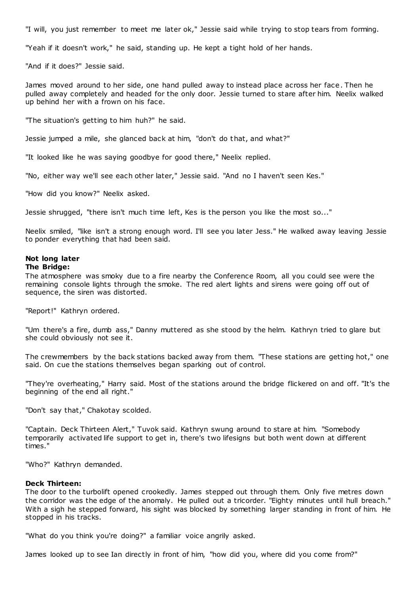"I will, you just remember to meet me later ok," Jessie said while trying to stop tears from forming.

"Yeah if it doesn't work," he said, standing up. He kept a tight hold of her hands.

"And if it does?" Jessie said.

James moved around to her side, one hand pulled away to instead place across her face. Then he pulled away completely and headed for the only door. Jessie turned to stare after him. Neelix walked up behind her with a frown on his face.

"The situation's getting to him huh?" he said.

Jessie jumped a mile, she glanced back at him, "don't do that, and what?"

"It looked like he was saying goodbye for good there," Neelix replied.

"No, either way we'll see each other later," Jessie said. "And no I haven't seen Kes."

"How did you know?" Neelix asked.

Jessie shrugged, "there isn't much time left, Kes is the person you like the most so..."

Neelix smiled, "like isn't a strong enough word. I'll see you later Jess." He walked away leaving Jessie to ponder everything that had been said.

# **Not long later**

## **The Bridge:**

The atmosphere was smoky due to a fire nearby the Conference Room, all you could see were the remaining console lights through the smoke. The red alert lights and sirens were going off out of sequence, the siren was distorted.

"Report!" Kathryn ordered.

"Um there's a fire, dumb ass," Danny muttered as she stood by the helm. Kathryn tried to glare but she could obviously not see it.

The crewmembers by the back stations backed away from them. "These stations are getting hot," one said. On cue the stations themselves began sparking out of control.

"They're overheating," Harry said. Most of the stations around the bridge flickered on and off. "It's the beginning of the end all right."

"Don't say that," Chakotay scolded.

"Captain. Deck Thirteen Alert," Tuvok said. Kathryn swung around to stare at him. "Somebody temporarily activated life support to get in, there's two lifesigns but both went down at different times."

"Who?" Kathryn demanded.

#### **Deck Thirteen:**

The door to the turbolift opened crookedly. James stepped out through them. Only five metres down the corridor was the edge of the anomaly. He pulled out a tricorder. "Eighty minutes until hull breach." With a sigh he stepped forward, his sight was blocked by something larger standing in front of him. He stopped in his tracks.

"What do you think you're doing?" a familiar voice angrily asked.

James looked up to see Ian directly in front of him, "how did you, where did you come from?"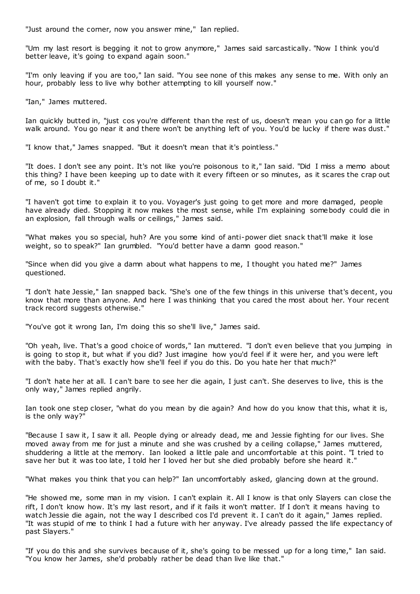"Just around the corner, now you answer mine," Ian replied.

"Um my last resort is begging it not to grow anymore," James said sarcastically. "Now I think you'd better leave, it's going to expand again soon."

"I'm only leaving if you are too," Ian said. "You see none of this makes any sense to me. With only an hour, probably less to live why bother attempting to kill yourself now.'

"Ian," James muttered.

Ian quickly butted in, "just cos you're different than the rest of us, doesn't mean you can go for a little walk around. You go near it and there won't be anything left of you. You'd be lucky if there was dust."

"I know that," James snapped. "But it doesn't mean that it's pointless."

"It does. I don't see any point. It's not like you're poisonous to it," Ian said. "Did I miss a memo about this thing? I have been keeping up to date with it every fifteen or so minutes, as it scares the crap out of me, so I doubt it."

"I haven't got time to explain it to you. Voyager's just going to get more and more damaged, people have already died. Stopping it now makes the most sense, while I'm explaining somebody could die in an explosion, fall through walls or ceilings," James said.

"What makes you so special, huh? Are you some kind of anti-power diet snack that'll make it lose weight, so to speak?" Ian grumbled. "You'd better have a damn good reason."

"Since when did you give a damn about what happens to me, I thought you hated me?" James questioned.

"I don't hate Jessie," Ian snapped back. "She's one of the few things in this universe that's decent, you know that more than anyone. And here I was thinking that you cared the most about her. Your recent track record suggests otherwise."

"You've got it wrong Ian, I'm doing this so she'll live," James said.

"Oh yeah, live. That's a good choice of words," Ian muttered. "I don't even believe that you jumping in is going to stop it, but what if you did? Just imagine how you'd feel if it were her, and you were left with the baby. That's exactly how she'll feel if you do this. Do you hate her that much?"

"I don't hate her at all. I can't bare to see her die again, I just can't. She deserves to live, this is the only way," James replied angrily.

Ian took one step closer, "what do you mean by die again? And how do you know that this, what it is, is the only way?"

"Because I saw it, I saw it all. People dying or already dead, me and Jessie fighting for our lives. She moved away from me for just a minute and she was crushed by a ceiling collapse," James muttered, shuddering a little at the memory. Ian looked a little pale and uncomfortable at this point. "I tried to save her but it was too late, I told her I loved her but she died probably before she heard it."

"What makes you think that you can help?" Ian uncomfortably asked, glancing down at the ground.

"He showed me, some man in my vision. I can't explain it. All I know is that only Slayers can close the rift, I don't know how. It's my last resort, and if it fails it won't matter. If I don't it means having to watch Jessie die again, not the way I described cos I'd prevent it. I can't do it again," James replied. "It was stupid of me to think I had a future with her anyway. I've already passed the life expectancy of past Slayers."

"If you do this and she survives because of it, she's going to be messed up for a long time," Ian said. "You know her James, she'd probably rather be dead than live like that."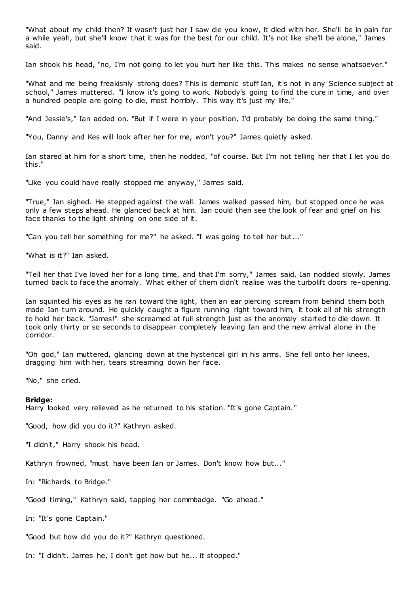"What about my child then? It wasn't just her I saw die you know, it died with her. She'll be in pain for a while yeah, but she'll know that it was for the best for our child. It's not like she'll be alone," James said.

Ian shook his head, "no, I'm not going to let you hurt her like this. This makes no sense whatsoever."

"What and me being freakishly strong does? This is demonic stuff Ian, it's not in any Science subject at school," James muttered. "I know it's going to work. Nobody's going to find the cure in time, and over a hundred people are going to die, most horribly. This way it's just my life."

"And Jessie's," Ian added on. "But if I were in your position, I'd probably be doing the same thing."

"You, Danny and Kes will look after her for me, won't you?" James quietly asked.

Ian stared at him for a short time, then he nodded, "of course. But I'm not telling her that I let you do this."

"Like you could have really stopped me anyway," James said.

"True," Ian sighed. He stepped against the wall. James walked passed him, but stopped once he was only a few steps ahead. He glanced back at him. Ian could then see the look of fear and grief on his face thanks to the light shining on one side of it.

"Can you tell her something for me?" he asked. "I was going to tell her but..."

"What is it?" Ian asked.

"Tell her that I've loved her for a long time, and that I'm sorry," James said. Ian nodded slowly. James turned back to face the anomaly. What either of them didn't realise was the turbolift doors re-opening.

Ian squinted his eyes as he ran toward the light, then an ear piercing scream from behind them both made Ian turn around. He quickly caught a figure running right toward him, it took all of his strength to hold her back. "James!" she screamed at full strength just as the anomaly started to die down. It took only thirty or so seconds to disappear completely leaving Ian and the new arrival alone in the corridor.

"Oh god," Ian muttered, glancing down at the hysterical girl in his arms. She fell onto her knees, dragging him with her, tears streaming down her face.

"No," she cried.

#### **Bridge:**

Harry looked very relieved as he returned to his station. "It's gone Captain. "

"Good, how did you do it?" Kathryn asked.

"I didn't," Harry shook his head.

Kathryn frowned, "must have been Ian or James. Don't know how but..."

In: "Richards to Bridge."

"Good timing," Kathryn said, tapping her commbadge. "Go ahead."

In: "It's gone Captain."

"Good but how did you do it?" Kathryn questioned.

In: "I didn't. James he, I don't get how but he... it stopped."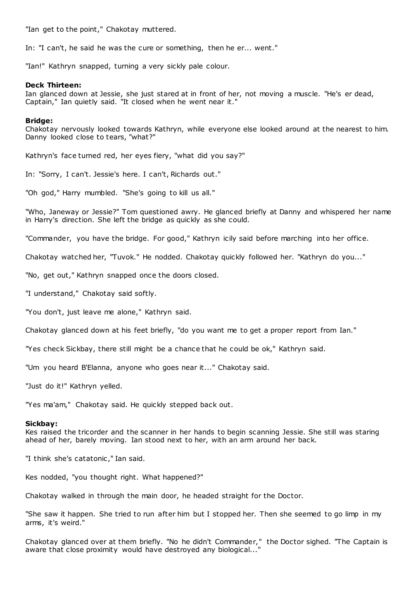"Ian get to the point," Chakotay muttered.

In: "I can't, he said he was the cure or something, then he er... went."

"Ian!" Kathryn snapped, turning a very sickly pale colour.

#### **Deck Thirteen:**

Ian glanced down at Jessie, she just stared at in front of her, not moving a muscle. "He's er dead, Captain," Ian quietly said. "It closed when he went near it."

#### **Bridge:**

Chakotay nervously looked towards Kathryn, while everyone else looked around at the nearest to him. Danny looked close to tears, "what?"

Kathryn's face turned red, her eyes fiery, "what did you say?"

In: "Sorry, I can't. Jessie's here. I can't, Richards out."

"Oh god," Harry mumbled. "She's going to kill us all."

"Who, Janeway or Jessie?" Tom questioned awry. He glanced briefly at Danny and whispered her name in Harry's direction. She left the bridge as quickly as she could.

"Commander, you have the bridge. For good," Kathryn icily said before marching into her office.

Chakotay watched her, "Tuvok." He nodded. Chakotay quickly followed her. "Kathryn do you..."

"No, get out," Kathryn snapped once the doors closed.

"I understand," Chakotay said softly.

"You don't, just leave me alone," Kathryn said.

Chakotay glanced down at his feet briefly, "do you want me to get a proper report from Ian."

"Yes check Sickbay, there still might be a chance that he could be ok," Kathryn said.

"Um you heard B'Elanna, anyone who goes near it..." Chakotay said.

"Just do it!" Kathryn yelled.

"Yes ma'am," Chakotay said. He quickly stepped back out.

#### **Sickbay:**

Kes raised the tricorder and the scanner in her hands to begin scanning Jessie. She still was staring ahead of her, barely moving. Ian stood next to her, with an arm around her back.

"I think she's catatonic ," Ian said.

Kes nodded, "you thought right. What happened?"

Chakotay walked in through the main door, he headed straight for the Doctor.

"She saw it happen. She tried to run after him but I stopped her. Then she seemed to go limp in my arms, it's weird."

Chakotay glanced over at them briefly. "No he didn't Commander," the Doctor sighed. "The Captain is aware that close proximity would have destroyed any biological..."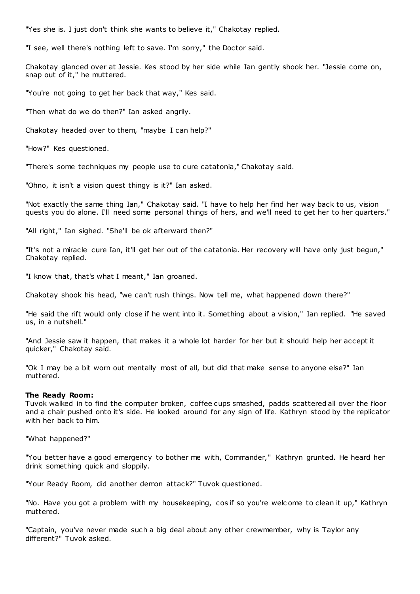"Yes she is. I just don't think she wants to believe it," Chakotay replied.

"I see, well there's nothing left to save. I'm sorry," the Doctor said.

Chakotay glanced over at Jessie. Kes stood by her side while Ian gently shook her. "Jessie come on, snap out of it," he muttered.

"You're not going to get her back that way," Kes said.

"Then what do we do then?" Ian asked angrily.

Chakotay headed over to them, "maybe I can help?"

"How?" Kes questioned.

"There's some techniques my people use to cure catatonia," Chakotay said.

"Ohno, it isn't a vision quest thingy is it?" Ian asked.

"Not exactly the same thing Ian," Chakotay said. "I have to help her find her way back to us, vision quests you do alone. I'll need some personal things of hers, and we'll need to get her to her quarters."

"All right," Ian sighed. "She'll be ok afterward then?"

"It's not a miracle cure Ian, it'll get her out of the catatonia. Her recovery will have only just begun," Chakotay replied.

"I know that, that's what I meant," Ian groaned.

Chakotay shook his head, "we can't rush things. Now tell me, what happened down there?"

"He said the rift would only close if he went into it. Something about a vision," Ian replied. "He saved us, in a nutshell."

"And Jessie saw it happen, that makes it a whole lot harder for her but it should help her accept it quicker," Chakotay said.

"Ok I may be a bit worn out mentally most of all, but did that make sense to anyone else?" Ian muttered.

## **The Ready Room:**

Tuvok walked in to find the computer broken, coffee cups smashed, padds scattered all over the floor and a chair pushed onto it's side. He looked around for any sign of life. Kathryn stood by the replicator with her back to him.

"What happened?"

"You better have a good emergency to bother me with, Commander," Kathryn grunted. He heard her drink something quick and sloppily.

"Your Ready Room, did another demon attack?" Tuvok questioned.

"No. Have you got a problem with my housekeeping, cos if so you're welc ome to clean it up," Kathryn muttered.

"Captain, you've never made such a big deal about any other crewmember, why is Taylor any different?" Tuvok asked.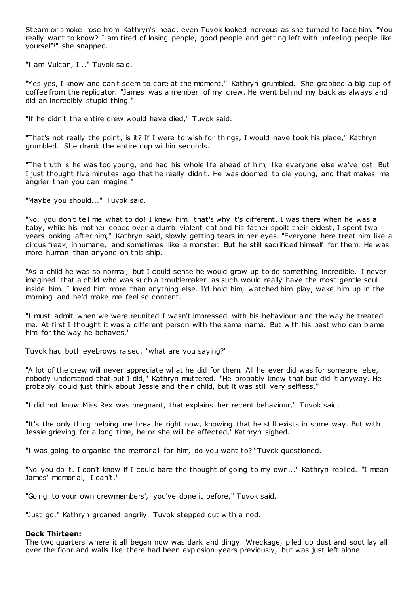Steam or smoke rose from Kathryn's head, even Tuvok looked nervous as she turned to face him. "You really want to know? I am tired of losing people, good people and getting left with unfeeling people like yourself!" she snapped.

"I am Vulcan, I..." Tuvok said.

"Yes yes, I know and can't seem to care at the moment," Kathryn grumbled. She grabbed a big cup of coffee from the replicator. "James was a member of my crew. He went behind my back as always and did an incredibly stupid thing."

"If he didn't the entire crew would have died," Tuvok said.

"That's not really the point, is it? If I were to wish for things, I would have took his place," Kathryn grumbled. She drank the entire cup within seconds.

"The truth is he was too young, and had his whole life ahead of him, like everyone else we've lost. But I just thought five minutes ago that he really didn't. He was doomed to die young, and that makes me angrier than you can imagine."

"Maybe you should..." Tuvok said.

"No, you don't tell me what to do! I knew him, that's why it's different. I was there when he was a baby, while his mother cooed over a dumb violent cat and his father spoilt their eldest, I spent two years looking after him," Kathryn said, slowly getting tears in her eyes. "Everyone here treat him like a circus freak, inhumane, and sometimes like a monster. But he still sacrificed himself for them. He was more human than anyone on this ship.

"As a child he was so normal, but I could sense he would grow up to do something incredible. I never imagined that a child who was such a troublemaker as such would really have the most gentle soul inside him. I loved him more than anything else. I'd hold him, watched him play, wake him up in the morning and he'd make me feel so content.

"I must admit when we were reunited I wasn't impressed with his behaviour and the way he treated me. At first I thought it was a different person with the same name. But with his past who can blame him for the way he behaves."

Tuvok had both eyebrows raised, "what are you saying?"

"A lot of the crew will never appreciate what he did for them. All he ever did was for someone else, nobody understood that but I did," Kathryn muttered. "He probably knew that but did it anyway. He probably could just think about Jessie and their child, but it was still very selfless."

"I did not know Miss Rex was pregnant, that explains her recent behaviour," Tuvok said.

"It's the only thing helping me breathe right now, knowing that he still exists in some way. But with Jessie grieving for a long time, he or she will be affected," Kathryn sighed.

"I was going to organise the memorial for him, do you want to?" Tuvok questioned.

"No you do it. I don't know if I could bare the thought of going to my own..." Kathryn replied. "I mean James' memorial, I can't."

"Going to your own crewmembers', you've done it before," Tuvok said.

"Just go," Kathryn groaned angrily. Tuvok stepped out with a nod.

## **Deck Thirteen:**

The two quarters where it all began now was dark and dingy. Wreckage, piled up dust and soot lay all over the floor and walls like there had been explosion years previously, but was just left alone.